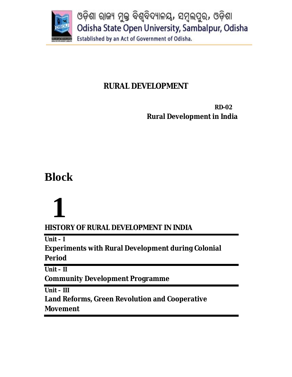

# **RURAL DEVELOPMENT**

 **RD-02 Rural Development in India**

# **Block**

# **1**

**HISTORY OF RURAL DEVELOPMENT IN INDIA**

**Unit – I**

**Experiments with Rural Development during Colonial** 

**Period**

**Unit – II**

**Community Development Programme**

**Unit – III**

**Land Reforms, Green Revolution and Cooperative Movement**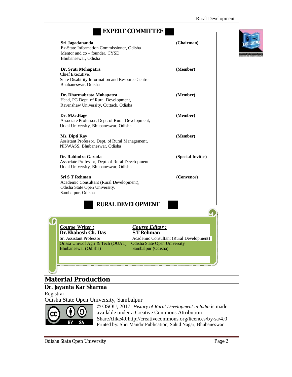| <b>EXPERT COMMITTEE</b>                                                                                                                                                                                                |                                         |  |
|------------------------------------------------------------------------------------------------------------------------------------------------------------------------------------------------------------------------|-----------------------------------------|--|
| Sri Jagadananda<br>Ex-State Information Commissioner, Odisha<br>Mentor and co - founder, CYSD<br>Bhubaneswar, Odisha                                                                                                   | (Chairman)                              |  |
| Dr. Sruti Mohapatra<br>Chief Executive,<br>State Disability Information and Resource Centre<br>Bhubaneswar, Odisha                                                                                                     | (Member)                                |  |
| Dr. Dharmabrata Mohapatra<br>Head, PG Dept. of Rural Development,<br>Ravenshaw University, Cuttack, Odisha                                                                                                             | (Member)                                |  |
| Dr. M.G.Bage<br>Associate Professor, Dept. of Rural Development,<br>Utkal University, Bhubaneswar, Odisha                                                                                                              | (Member)                                |  |
| Ms. Dipti Ray<br>Assistant Professor, Dept. of Rural Management,<br>NISWASS, Bhubaneswar, Odisha                                                                                                                       | (Member)                                |  |
| Dr. Rabindra Garada<br>Associate Professor, Dept. of Rural Development,<br>Utkal University, Bhubaneswar, Odisha                                                                                                       | (Special Invitee)                       |  |
| <b>Sri S T Rehman</b><br>Academic Consultant (Rural Development),<br>Odisha State Open University,<br>Sambalpur, Odisha                                                                                                | (Convenor)                              |  |
| <b>RURAL DEVELOPMENT</b>                                                                                                                                                                                               |                                         |  |
|                                                                                                                                                                                                                        |                                         |  |
| Course Writer:<br>Course Editor:<br>Dr.Bhabesh Ch. Das<br><b>ST Rehman</b><br>Sr. Assistant Professor<br>Orissa Univ.of Agri & Tech (OUAT), Odisha State Open University<br>Bhubaneswar (Odisha)<br>Sambalpur (Odisha) | Academic Consultant (Rural Development) |  |
|                                                                                                                                                                                                                        |                                         |  |

# **Material Production**

# **Dr. Jayanta Kar Sharma**

Registrar

Odisha State Open University, Sambalpur



© OSOU, 2017. *History of Rural Development in India* is made available under a Creative Commons Attribution ShareAlike4.0http://creativecommons.org/licences/by-sa/4.0 Printed by: Shri Mandir Publication, Sahid Nagar, Bhubaneswar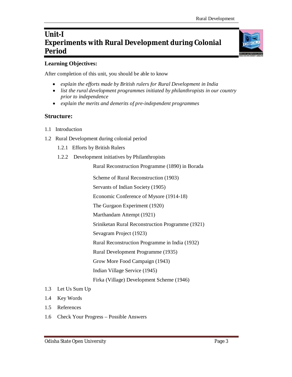# **Unit-I Experiments with Rural Development during Colonial Period**

#### **Learning Objectives:**

After completion of this unit, you should be able to know

- *explain the efforts made by British rulers for Rural Development in India*
- *list the rural development programmes initiated by philanthropists in our country prior to independence*
- *explain the merits and demerits of pre-independent programmes*

#### **Structure:**

- 1.1 Introduction
- 1.2 Rural Development during colonial period
	- 1.2.1 Efforts by British Rulers
	- 1.2.2 Development initiatives by Philanthropists

Rural Reconstruction Programme (1890) in Borada

Scheme of Rural Reconstruction (1903)

Servants of Indian Society (1905)

Economic Conference of Mysore (1914-18)

The Gurgaon Experiment (1920)

Marthandam Attempt (1921)

Sriniketan Rural Reconstruction Programme (1921)

Sevagram Project (1923)

Rural Reconstruction Programme in India (1932)

Rural Development Programme (1935)

Grow More Food Campaign (1943)

Indian Village Service (1945)

Firka (Village) Development Scheme (1946)

- 1.3 Let Us Sum Up
- 1.4 Key Words
- 1.5 References
- 1.6 Check Your Progress Possible Answers



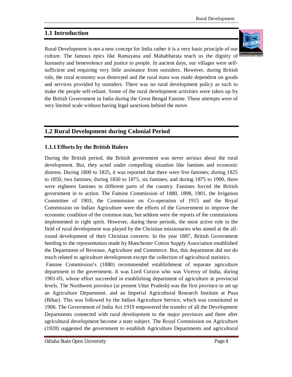# **1.1 Introduction**

Rural Development is not a new concept for India rather it is a very basic principle of our culture. The famous epics like Ramayana and Mahabharata teach us the dignity of humanity and benevolence and justice to people. In ancient days, our villages were selfsufficient and requiring very little assistance from outsiders. However, during British rule, the rural economy was destroyed and the rural mass was made dependent on goods and services provided by outsiders. There was no rural development policy as such to make the people self-reliant. Some of the rural development activities were taken up by the British Government in India during the Great Bengal Famine. These attempts were of very limited scale without having legal sanctions behind the move.

# **1.2 Rural Development during Colonial Period**

#### **1.1.1 Efforts by the British Rulers**

During the British period, the British government was never serious about the rural development. But, they acted under compelling situation like famines and economic distress. During 1800 to 1825, it was reported that there were five famines; during 1825 to 1850, two famines; during 1850 to 1875, six famines; and during 1875 to 1900, there were eighteen famines in different parts of the country. Famines forced the British government in to action. The Famine Commission of 1880, 1898, 1901, the Irrigation Committee of 1903, the Commission on Co-operation of 1915 and the Royal Commission on Indian Agriculture were the efforts of the Government to improve the economic condition of the common man, but seldom were the reports of the commissions implemented in right spirit. However, during these periods, the most active role in the field of rural development was played by the Christian missionaries who aimed at the allround development of their Christian converts. In the year 1887, British Government heeding to the representation made by Manchester Cotton Supply Association established the Department of Revenue, Agriculture and Commerce. But, this department did not do much related to agriculture development except the collection of agricultural statistics.

Famine Commission's (1880) recommended establishment of separate agriculture department in the government. It was Lord Curzon who was Viceroy of India, during 1901-05, whose effort succeeded in establishing department of agriculture at provincial levels. The Northwest province (at present Uttar Pradesh) was the first province to set up an Agriculture Department. and an Imperial Agricultural Research Institute at Pusa (Bihar). This was followed by the Indian Agriculture Service, which was constituted in 1906. The Government of India Act 1919 empowered the transfer of all the Development Departments connected with rural development to the major provinces and there after agricultural development become a state subject. The Royal Commission on Agriculture (1928) suggested the government to establish Agriculture Departments and agricultural

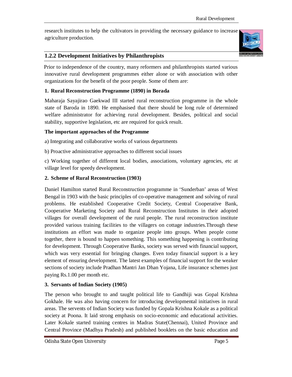research institutes to help the cultivators in providing the necessary guidance to increase agriculture production.



# **1.2.2 Development Initiatives by Philanthropists**

 Prior to independence of the country, many reformers and philanthropists started various innovative rural development programmes either alone or with association with other organizations for the benefit of the poor people. Some of them are:

#### **1. Rural Reconstruction Programme (1890) in Borada**

Maharaja Sayajirao Gaekwad III started rural reconstruction programme in the whole state of Baroda in 1890. He emphasised that there should be long rule of determined welfare administrator for achieving rural development. Besides, political and social stability, supportive legislation, etc are required for quick result.

#### **The important approaches of the Programme**

a) Integrating and collaborative works of various departments

b) Proactive administrative approaches to different social issues

c) Working together of different local bodies, associations, voluntary agencies, etc at village level for speedy development.

# **2. Scheme of Rural Reconstruction (1903)**

Daniel Hamilton started Rural Reconstruction programme in 'Sunderban' areas of West Bengal in 1903 with the basic principles of co-operative management and solving of rural problems. He established Cooperative Credit Society, Central Cooperative Bank, Cooperative Marketing Society and Rural Reconstruction Institutes in their adopted villages for overall development of the rural people. The rural reconstruction institute provided various training facilities to the villagers on cottage industries.Through these institutions an effort was made to organize people into groups. When people come together, there is bound to happen something. This something happening is contributing for development. Through Cooperative Banks, society was served with financial support, which was very essential for bringing changes. Even today financial support is a key element of ensuring development. The latest examples of financial support for the weaker sections of society include Pradhan Mantri Jan Dhan Yojana, Life insurance schemes just paying Rs.1.00 per month etc.

# **3. Servants of Indian Society (1905)**

The person who brought to and taught political life to Gandhiji was Gopal Krishna Gokhale. He was also having concern for introducing developmental initiatives in rural areas. The servents of Indian Society was funded by Gopala Krishna Kokale as a political society at Poona. It laid strong emphasis on socio-economic and educational activities. Later Kokale started training centres in Madras State(Chennai), United Province and Central Province (Madhya Pradesh) and published booklets on the basic education and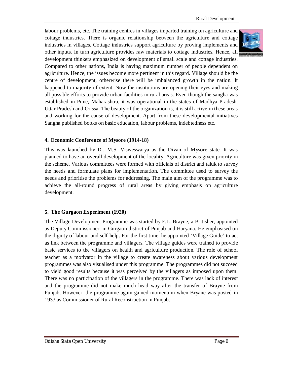labour problems, etc. The training centres in villages imparted training on agriculture and cottage industries. There is organic relationship between the agriculture and cottage industries in villages. Cottage industries support agriculture by proving implements and other inputs. In turn agriculture provides raw materials to cottage industries. Hence, all development thinkers emphasized on development of small scale and cottage industries. Compared to other nations, India is having maximum number of people dependent on agriculture. Hence, the issues become more pertinent in this regard. Village should be the centre of development, otherwise there will be imbalanced growth in the nation. It happened to majority of extent. Now the institutions are opening their eyes and making all possible efforts to provide urban facilities in rural areas. Even though the sangha was established in Pune, Maharashtra, it was operational in the states of Madhya Pradesh, Uttar Pradesh and Orissa. The beauty of the organization is, it is still active in these areas and working for the cause of development. Apart from these developmental initiatives Sangha published books on basic education, labour problems, indebtedness etc.

#### **4. Economic Conference of Mysore (1914-18)**

This was launched by Dr. M.S. Visweswarya as the Divan of Mysore state. It was planned to have an overall development of the locality. Agriculture was given priority in the scheme. Various committees were formed with officials of district and taluk to survey the needs and formulate plans for implementation. The committee used to survey the needs and prioritise the problems for addressing. The main aim of the programme was to achieve the all-round progress of rural areas by giving emphasis on agriculture development.

#### **5. The Gurgaon Experiment (1920)**

The Village Development Programme was started by F.L. Brayne, a Britisher, appointed as Deputy Commissioner, in Gurgaon district of Punjab and Haryana. He emphasised on the dignity of labour and self-help. For the first time, he appointed 'Village Guide' to act as link between the programme and villagers. The village guides were trained to provide basic services to the villagers on health and agriculture production. The role of school teacher as a motivator in the village to create awareness about various development programmes was also visualised under this programme. The programmes did not succeed to yield good results because it was perceived by the villagers as imposed upon them. There was no participation of the villagers in the programme. There was lack of interest and the programme did not make much head way after the transfer of Brayne from Punjab. However, the programme again gained momentum when Bryane was posted in 1933 as Commissioner of Rural Reconstruction in Punjab.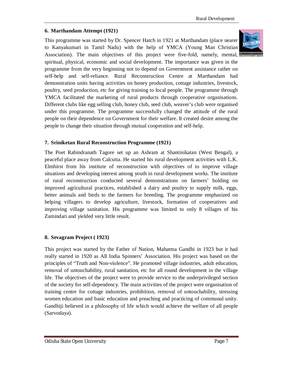#### **6. Marthandam Attempt (1921)**

This programme was started by Dr. Spencer Hatch in 1921 at Marthandam (place nearer to Kanyakumari in Tamil Nadu) with the help of YMCA (Young Man Christian Association). The main objectives of this project were five-fold, namely, mental, spiritual, physical, economic and social development. The importance was given in the programme from the very beginning not to depend on Government assistance rather on self-help and self-reliance. Rural Reconstruction Centre at Marthandam had demonstration units having activities on honey production, cottage industries, livestock, poultry, seed production, etc for giving training to local people. The programme through YMCA facilitated the marketing of rural products through cooperative organisations. Different clubs like egg selling club, honey club, seed club, weaver's club were organised under this programme. The programme successfully changed the attitude of the rural people on their dependence on Government for their welfare. It created desire among the people to change their situation through mutual cooperation and self-help.

#### **7. Sriniketan Rural Reconstruction Programme (1921)**

The Poet Rabindranath Tagore set up an Ashram at Shantinikatan (West Bengal), a peaceful place away from Calcutta. He started his rural development activities with L.K. Elmhirst from his institute of reconstruction with objectives of to improve village situations and developing interest among youth in rural development works. The institute of rural reconstruction conducted several demonstrations on farmers' holding on improved agricultural practices, established a dairy and poultry to supply milk, eggs, better animals and birds to the farmers for breeding. The programme emphasized on helping villagers to develop agriculture, livestock, formation of cooperatives and improving village sanitation. His programme was limited to only 8 villages of his Zamindari and yielded very little result.

#### **8. Sevagram Project ( 1923)**

This project was started by the Father of Nation, Mahatma Gandhi in 1923 but it had really started in 1920 as All India Spinners' Association. His project was based on the principles of "Truth and Non-violence". He promoted village industries, adult education, removal of untouchability, rural sanitation, etc for all round development in the village life. The objectives of the project were to provide service to the underprivileged section of the society for self-dependency. The main activities of the project were organisation of training centre for cottage industries, prohibition, removal of untouchability, stressing women education and basic education and preaching and practicing of communal unity. Gandhiji believed in a philosophy of life which would achieve the welfare of all people (Sarvodaya).

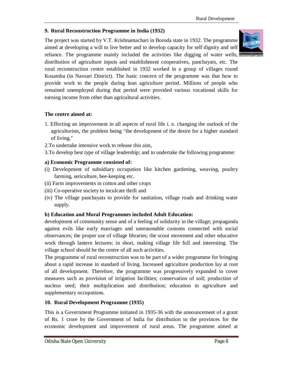#### **9. Rural Reconstruction Programme in India (1932)**

The project was started by V.T. Krishnamachari in Boroda state in 1932. The programme aimed at developing a will to live better and to develop capacity for self dignity and self reliance. The programme mainly included the activities like digging of water wells,



distribution of agriculture inputs and establishment cooperatives, panchayats, etc. The rural reconstruction centre established in 1932 worked in a group of villages round Kosamba (in Navsari District). The basic concern of the programme was that how to provide work to the people during lean agriculture period. Millions of people who remained unemployed during that period were provided various vocational skills for earning income from other than agricultural activities.

#### **The centre aimed at:**

- 1. Effecting an improvement in all aspects of rural life i. e. changing the outlook of the agriculturists, the problem being "the development of the desire for a higher standard of living,"
- 2.To undertake intensive work to release this aim,
- 3.To develop best type of village leadership; and to undertake the following programme:

#### **a) Economic Programme consisted of:**

- (i) Development of subsidiary occupation like kitchen gardening, weaving, poultry farming, sericulture, bee-keeping etc.
- (ii) Farm improvements in cotton and other crops
- (iii) Co-operative society to inculcate thrift and
- (iv) The village panchayats to provide for sanitation, village roads and drinking water supply.

#### **b) Education and Moral Programmes included Adult Education:**

development of community sense and of a feeling of solidarity in the village; propaganda against evils like early marriages and unreasonable customs connected with social observances; the proper use of village libraries; the scout movement and other educative work through lantern lectures; in short, making village life full and interesting. The village school should be the centre of all such activities.

The programme of rural reconstruction was to be part of a wider programme for bringing about a rapid increase in standard of living. Increased agriculture production lay at root of all development. Therefore, the programme was progressively expanded to cover measures such as provision of irrigation facilities; conservation of soil; production of nucleus seed; their multiplication and distribution; education in agriculture and supplementary occupations.

#### **10. Rural Development Programme (1935)**

This is a Government Programme initiated in 1935-36 with the announcement of a grant of Rs. 1 crore by the Government of India for distribution to the provinces for the economic development and improvement of rural areas. The programme aimed at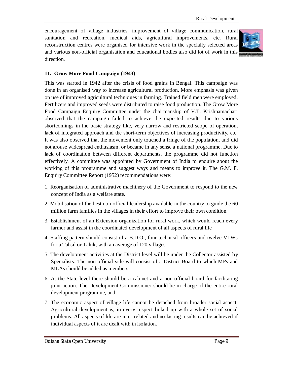encouragement of village industries, improvement of village communication, rural sanitation and recreation, medical aids, agricultural improvements, etc. Rural reconstruction centres were organised for intensive work in the specially selected areas and various non-official organisation and educational bodies also did lot of work in this direction.



#### **11. Grow More Food Campaign (1943)**

This was started in 1942 after the crisis of food grains in Bengal. This campaign was done in an organised way to increase agricultural production. More emphasis was given on use of improved agricultural techniques in farming. Trained field men were employed. Fertilizers and improved seeds were distributed to raise food production. The Grow More Food Campaign Enquiry Committee under the chairmanship of V.T. Krishnamachari observed that the campaign failed to achieve the expected results due to various shortcomings in the basic strategy like, very narrow and restricted scope of operation, lack of integrated approach and the short-term objectives of increasing productivity, etc. It was also observed that the movement only touched a fringe of the population, and did not arouse widespread enthusiasm, or became in any sense a national programme. Due to lack of coordination between different departments, the programme did not function effectively. A committee was appointed by Government of India to enquire about the working of this programme and suggest ways and means to improve it. The G.M. F. Enquiry Committee Report (1952) recommendations were:

- 1. Reorganisation of administrative machinery of the Government to respond to the new concept of India as a welfare state.
- 2. Mobilisation of the best non-official leadership available in the country to guide the 60 million farm families in the villages in their effort to improve their own condition.
- 3. Establishment of an Extension organization for rural work, which would reach every farmer and assist in the coordinated development of all aspects of rural life
- 4. Staffing pattern should consist of a B.D.O., four technical officers and twelve VLWs for a Tahsil or Taluk, with an average of 120 villages.
- 5. The development activities at the District level will be under the Collector assisted by Specialists. The non-official side will consist of a District Board to which MPs and MLAs should be added as members
- 6. At the State level there should be a cabinet and a non-official board for facilitating joint action. The Development Commissioner should be in-charge of the entire rural development programme, and
- 7. The economic aspect of village life cannot be detached from broader social aspect. Agricultural development is, in every respect linked up with a whole set of social problems. All aspects of life are inter-related and no lasting results can be achieved if individual aspects of it are dealt with in isolation.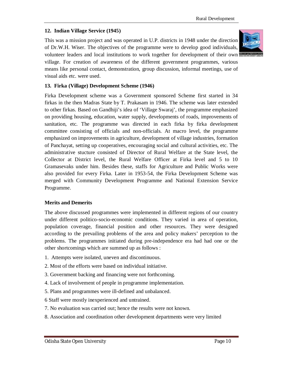#### **12. Indian Village Service (1945)**

visual aids etc. were used.

This was a mission project and was operated in U.P. districts in 1948 under the direction of Dr.W.H. Wiser. The objectives of the programme were to develop good individuals, volunteer leaders and local institutions to work together for development of their own village. For creation of awareness of the different government programmes, various

means like personal contact, demonstration, group discussion, informal meetings, use of



#### **13. Firka (Village) Development Scheme (1946)**

Firka Development scheme was a Government sponsored Scheme first started in 34 firkas in the then Madras State by T. Prakasam in 1946. The scheme was later extended to other firkas. Based on Gandhiji's idea of 'Village Swaraj', the programme emphasized on providing housing, education, water supply, developments of roads, improvements of sanitation, etc. The programme was directed in each firka by firka development committee consisting of officials and non-officials. At macro level, the programme emphasized on improvements in agriculture, development of village industries, formation of Panchayat, setting up cooperatives, encouraging social and cultural activities, etc. The administrative stucture consisted of Director of Rural Welfare at the State level, the Collector at District level, the Rural Welfare Officer at Firka level and 5 to 10 Gramasevaks under him. Besides these, staffs for Agriculture and Public Works were also provided for every Firka. Later in 1953-54, the Firka Development Scheme was merged with Community Development Programme and National Extension Service Programme.

#### **Merits and Demerits**

The above discussed programmes were implemented in different regions of our country under different politico-socio-economic conditions. They varied in area of operation, population coverage, financial position and other resources. They were designed according to the prevailing problems of the area and policy makers' perception to the problems. The programmes initiated during pre-independence era had had one or the other shortcomings which are summed up as follows :

- 1. Attempts were isolated, uneven and discontinuous.
- 2. Most of the efforts were based on individual initiative.
- 3. Government backing and financing were not forthcoming.
- 4. Lack of involvement of people in programme implementation.
- 5. Plans and programmes were ill-defined and unbalanced.
- 6 Staff were mostly inexperienced and untrained.
- 7. No evaluation was carried out; hence the results were not known.
- 8. Association and coordination other development departments were very limited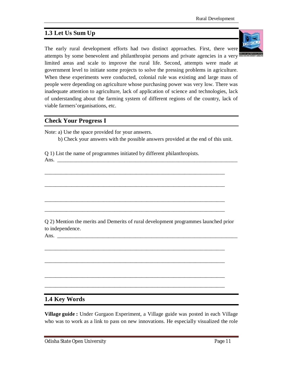# **1.3 Let Us Sum Up**

The early rural development efforts had two distinct approaches. First, there were attempts by some benevolent and philanthropist persons and private agencies in a very limited areas and scale to improve the rural life. Second, attempts were made at government level to initiate some projects to solve the pressing problems in agriculture. When these experiments were conducted, colonial rule was existing and large mass of people were depending on agriculture whose purchasing power was very low. There was inadequate attention to agriculture, lack of application of science and technologies, lack of understanding about the farming system of different regions of the country, lack of viable farmers'organisations, etc.

#### **Check Your Progress I**

Note: a) Use the space provided for your answers.

b) Check your answers with the possible answers provided at the end of this unit.

Q 1) List the name of programmes initiated by different philanthropists. Ans. \_\_\_\_\_\_\_\_\_\_\_\_\_\_\_\_\_\_\_\_\_\_\_\_\_\_\_\_\_\_\_\_\_\_\_\_\_\_\_\_\_\_\_\_\_\_\_\_\_\_\_\_\_\_\_\_\_\_\_\_\_\_\_\_\_\_\_

Q 2) Mention the merits and Demerits of rural development programmes launched prior to independence.

\_\_\_\_\_\_\_\_\_\_\_\_\_\_\_\_\_\_\_\_\_\_\_\_\_\_\_\_\_\_\_\_\_\_\_\_\_\_\_\_\_\_\_\_\_\_\_\_\_\_\_\_\_\_\_\_\_\_\_\_\_\_\_\_\_\_\_

\_\_\_\_\_\_\_\_\_\_\_\_\_\_\_\_\_\_\_\_\_\_\_\_\_\_\_\_\_\_\_\_\_\_\_\_\_\_\_\_\_\_\_\_\_\_\_\_\_\_\_\_\_\_\_\_\_\_\_\_\_\_\_\_\_\_\_

\_\_\_\_\_\_\_\_\_\_\_\_\_\_\_\_\_\_\_\_\_\_\_\_\_\_\_\_\_\_\_\_\_\_\_\_\_\_\_\_\_\_\_\_\_\_\_\_\_\_\_\_\_\_\_\_\_\_\_\_\_\_\_\_\_\_\_

\_\_\_\_\_\_\_\_\_\_\_\_\_\_\_\_\_\_\_\_\_\_\_\_\_\_\_\_\_\_\_\_\_\_\_\_\_\_\_\_\_\_\_\_\_\_\_\_\_\_\_\_\_\_\_\_\_\_\_\_\_\_\_\_\_\_\_

\_\_\_\_\_\_\_\_\_\_\_\_\_\_\_\_\_\_\_\_\_\_\_\_\_\_\_\_\_\_\_\_\_\_\_\_\_\_\_\_\_\_\_\_\_\_\_\_\_\_\_\_\_\_\_\_\_\_\_\_\_\_\_\_\_\_\_

\_\_\_\_\_\_\_\_\_\_\_\_\_\_\_\_\_\_\_\_\_\_\_\_\_\_\_\_\_\_\_\_\_\_\_\_\_\_\_\_\_\_\_\_\_\_\_\_\_\_\_\_\_\_\_\_\_\_\_\_\_\_\_\_\_\_\_

\_\_\_\_\_\_\_\_\_\_\_\_\_\_\_\_\_\_\_\_\_\_\_\_\_\_\_\_\_\_\_\_\_\_\_\_\_\_\_\_\_\_\_\_\_\_\_\_\_\_\_\_\_\_\_\_\_\_\_\_\_\_\_\_\_\_\_

\_\_\_\_\_\_\_\_\_\_\_\_\_\_\_\_\_\_\_\_\_\_\_\_\_\_\_\_\_\_\_\_\_\_\_\_\_\_\_\_\_\_\_\_\_\_\_\_\_\_\_\_\_\_\_\_\_\_\_\_\_\_\_\_\_\_\_

Ans. \_\_\_\_\_\_\_\_\_\_\_\_\_\_\_\_\_\_\_\_\_\_\_\_\_\_\_\_\_\_\_\_\_\_\_\_\_\_\_\_\_\_\_\_\_\_\_\_\_\_\_\_\_\_\_\_\_\_\_\_\_\_\_\_\_\_\_

# **1.4 Key Words**

**Village guide :** Under Gurgaon Experiment, a Village guide was posted in each Village who was to work as a link to pass on new innovations. He especially visualized the role

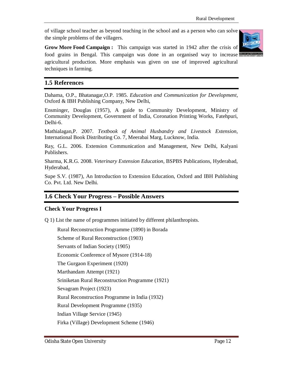of village school teacher as beyond teaching in the school and as a person who can solve the simple problems of the villagers.



**Grow More Food Campaign :** This campaign was started in 1942 after the crisis of food grains in Bengal. This campaign was done in an organised way to increase agricultural production. More emphasis was given on use of improved agricultural techniques in farming.

# **1.5 References**

Dahama, O.P., Bhatanagar,O.P. 1985. *Education and Communication for Development*, Oxford & IBH Publishing Company, New Delhi,

Ensminger, Douglas (1957), A guide to Community Development, Ministry of Community Development, Government of India, Coronation Printing Works, Fatehpuri, Delhi-6.

Mathialagan,P. 2007. *Textbook of Animal Husbandry and Livestock Extension*, International Book Distributing Co. 7, Meerabai Marg, Lucknow, India.

Ray, G.L. 2006. Extension Communication and Management, New Delhi, Kalyani Publishers.

Sharma, K.R.G. 2008. *Veterinary Extension Education*, BSPBS Publications, Hyderabad, Hyderabad,

Supe S.V. (1987), An Introduction to Extension Education, Oxford and IBH Publishing Co. Pvt. Ltd. New Delhi.

# **1.6 Check Your Progress – Possible Answers**

#### **Check Your Progress I**

Q 1) List the name of programmes initiated by different philanthropists.

Rural Reconstruction Programme (1890) in Borada

Scheme of Rural Reconstruction (1903)

Servants of Indian Society (1905)

Economic Conference of Mysore (1914-18)

The Gurgaon Experiment (1920)

Marthandam Attempt (1921)

Sriniketan Rural Reconstruction Programme (1921)

Sevagram Project (1923)

Rural Reconstruction Programme in India (1932)

Rural Development Programme (1935)

Indian Village Service (1945)

Firka (Village) Development Scheme (1946)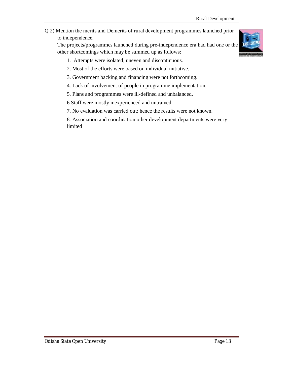Q 2) Mention the merits and Demerits of rural development programmes launched prior to independence.

The projects/programmes launched during pre-independence era had had one or the other shortcomings which may be summed up as follows:

- 1. Attempts were isolated, uneven and discontinuous.
- 2. Most of the efforts were based on individual initiative.
- 3. Government backing and financing were not forthcoming.
- 4. Lack of involvement of people in programme implementation.
- 5. Plans and programmes were ill-defined and unbalanced.
- 6 Staff were mostly inexperienced and untrained.
- 7. No evaluation was carried out; hence the results were not known.
- 8. Association and coordination other development departments were very limited

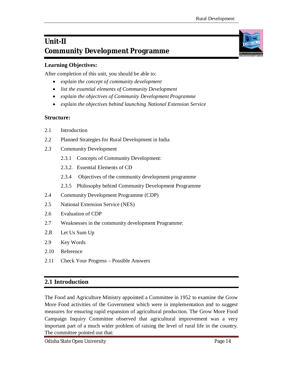# **Unit-II Community Development Programme**

# **Learning Objectives:**

After completion of this unit, you should be able to:

- *explain the concept of community development*
- *list the essential elements of Community Development*
- *explain the objectives of Community Development Programme*
- *explain the objectives behind launching National Extension Service*

#### **Structure:**

- 2.1 Introduction
- 2.2 Planned Strategies for Rural Development in India
- 2.3 Community Development
	- 2.3.1 Concepts of Community Development:
	- 2.3.2. Essential Elements of CD
	- 2.3.4 Objectives of the community development programme
	- 2.3.5 Philosophy behind Community Development Programme
- 2.4 Community Development Programme (CDP)
- 2.5 National Extension Service (NES)
- 2.6 Evaluation of CDP
- 2.7 Weaknesses in the community development Programme:
- 2.8 Let Us Sum Up
- 2.9 Key Words
- 2.10 Reference
- 2.11 Check Your Progress Possible Answers

# **2.1 Introduction**

The Food and Agriculture Ministry appointed a Committee in 1952 to examine the Grow More Food activities of the Government which were in implementation and to suggest measures for ensuring rapid expansion of agricultural production. The Grow More Food Campaign Inquiry Committee observed that agricultural improvement was a very important part of a much wider problem of raising the level of rural life in the country. The committee pointed out that:

Odisha State Open University Page 14

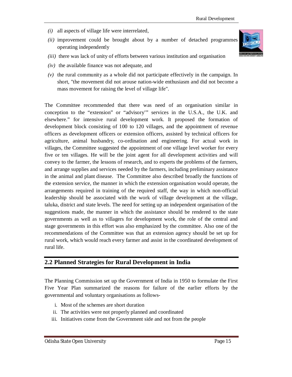- *(i)* all aspects of village life were interrelated,
- *(ii)* improvement could be brought about by a number of detached programmes operating independently
- *(iii)* there was lack of unity of efforts between various institution and organisation
- *(iv)* the available finance was not adequate, and
- *(v)* the rural community as a whole did not participate effectively in the campaign. In short, "the movement did not arouse nation-wide enthusiasm and did not become a mass movement for raising the level of village life".

The Committee recommended that there was need of an organisation similar in conception to the "extension" or "advisory'" services in the U.S.A., the U.K. and elsewhere." for intensive rural development work. It proposed the formation of development block consisting of 100 to 120 villages, and the appointment of revenue officers as development officers or extension officers, assisted by technical officers for agriculture, animal husbandry, co-ordination and engineering. For actual work in villages, the Committee suggested the appointment of one village level worker for every five or ten villages. He will be the joint agent for all development activities and will convey to the farmer, the lessons of research, and to experts the problems of the farmers, and arrange supplies and services needed by the farmers, including preliminary assistance in the animal and plant disease. The Committee also described broadly the functions of the extension service, the manner in which the extension organisation would operate, the arrangements required in training of the required staff, the way in which non-official leadership should be associated with the work of village development at the village, taluka, district and state levels. The need for setting up an independent organisation of the suggestions made, the manner in which the assistance should be rendered to the state governments as well as to villagers for development work, the role of the central and stage governments in this effort was also emphasized by the committee. Also one of the recommendations of the Committee was that an extension agency should be set up for rural work, which would reach every farmer and assist in the coordinated development of rural life.

#### **2.2 Planned Strategies for Rural Development in India**

The Planning Commission set up the Government of India in 1950 to formulate the First Five Year Plan summarized the reasons for failure of the earlier efforts by the governmental and voluntary organisations as follows-

- i. Most of the schemes are short duration
- ii. The activities were not properly planned and coordinated
- iii. Initiatives come from the Government side and not from the people

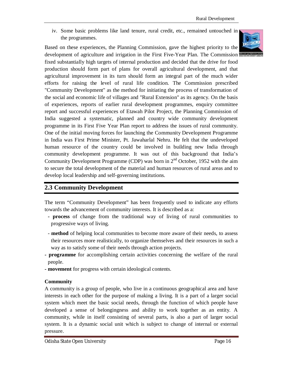iv. Some basic problems like land tenure, rural credit, etc., remained untouched in the programmes.





development of agriculture and irrigation in the First Five-Year Plan. The Commission fixed substantially high targets of internal production and decided that the drive for food production should form part of plans for overall agricultural development, and that agricultural improvement in its turn should form an integral part of the much wider efforts for raising the level of rural life condition. The Commission prescribed "Community Development" as the method for initiating the process of transformation of the social and economic life of villages and "Rural Extension" as its agency. On the basis of experiences, reports of earlier rural development programmes, enquiry committee report and successful experiences of Etawah Pilot Project, the Planning Commission of India suggested a systematic, planned and country wide community development programme in its First Five Year Plan report to address the issues of rural community. One of the initial moving forces for launching the Community Development Programme in India was First Prime Minister, Pt. Jawaharlal Nehru. He felt that the undeveloped human resource of the country could be involved in building new India through community development programme. It was out of this background that India's Community Development Programme (CDP) was born in  $2<sup>nd</sup>$  October, 1952 with the aim to secure the total development of the material and human resources of rural areas and to develop local leadership and self-governing institutions.

# **2.3 Community Development**

The term "Community Development" has been frequently used to indicate any efforts towards the advancement of community interests. It is described as a:

- **- process** of change from the traditional way of living of rural communities to progressive ways of living.
- **method** of helping local communities to become more aware of their needs, to assess their resources more realistically, to organize themselves and their resources in such a way as to satisfy some of their needs through action projects.
- **- programme** for accomplishing certain activities concerning the welfare of the rural people.
- **- movement** for progress with certain ideological contents.

#### **Community**

A community is a group of people, who live in a continuous geographical area and have interests in each other for the purpose of making a living. It is a part of a larger social system which meet the basic social needs, through the function of which people have developed a sense of belongingness and ability to work together as an entity. A community, while in itself consisting of several parts, is also a part of larger social system. It is a dynamic social unit which is subject to change of internal or external pressure.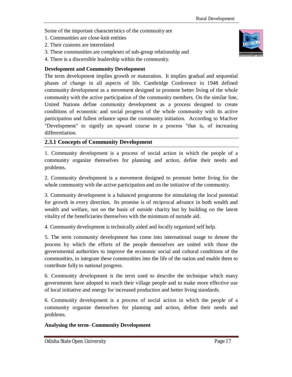Some of the important characteristics of the community are

- 1. Communities are close-knit entities
- 2. Their customs are interrelated
- 3. These communities are complexes of sub-group relationship and
- 4. There is a discernible leadership within the community.

#### **Development and Community Development**

The term development implies growth or maturation. It implies gradual and sequential phases of change in all aspects of life. Cambridge Conference in 1948 defined community development as a movement designed to promote better living of the whole community with the active participation of the community members. On the similar line, United Nations define community development as a process designed to create conditions of economic and social progress of the whole community with its active participation and fullest reliance upon the community initiation. According to MacIver "Development" to signify an upward course in a process "that is, of increasing differentiation.

#### **2.3.1 Concepts of Community Development**

1. Community development is a process of social action in which the people of a community organize themselves for planning and action, define their needs and problems.

2. Community development is a movement designed to promote better living for the whole community with the active participation and on the initiative of the community.

3. Community development is a balanced programme for stimulating the local potential for growth in every direction. Its promise is of reciprocal advance in both wealth and wealth and welfare, not on the basis of outside charity but by building on the latent vitality of the beneficiaries themselves with the minimum of outside aid.

4. Community development is technically aided and locally organized self help.

5. The term community development has come into international usage to denote the process by which the efforts of the people themselves are united with those the governmental authorities to improve the economic social and cultural conditions of the communities, to integrate these communities into the life of the nation and enable them to contribute fully to national progress.

6. Community development is the term used to describe the technique which many governments have adopted to reach their village people and to make more effective use of local initiative and energy for increased production and better living standards.

6. Community development is a process of social action in which the people of a community organize themselves for planning and action, define their needs and problems.

#### **Analysing the term- Community Development**

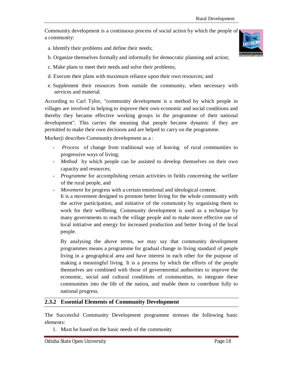Community development is a continuous process of social action by which the people of a community:

- a. Identify their problems and define their needs;
- b. Organize themselves formally and informally for democratic planning and action;
- c. Make plans to meet their needs and solve their problems;
- d. Execute their plans with maximum reliance upon their own resources; and
- e. Supplement their resources from outside the community, when necessary with services and material.

According to Carl Tylor, "community development is a method by which people in villages are involved in helping to improve their own economic and social conditions and thereby they became effective working groups in the programme of their national development". This carries the meaning that people became dynamic if they are permitted to make their own decisions and are helped to carry on the programme.

Murkerji describes Community development as a :

- *Process* of change from traditional way of leaving of rural communities to progressive ways of living;
- *Method* by which people can be assisted to develop themselves on their own capacity and resources;
- *Programme* for accomplishing certain activities in fields concerning the welfare of the rural people, and
- *Movement* for progress with a certain emotional and ideological content.

It is a movement designed to promote better living for the whole community with the active participation, and initiative of the community by organising them to work for their wellbeing. Community development is used as a technique by many governments to reach the village people and to make more effective use of local initiative and energy for increased production and better living of the local people.

By analysing the above terms, we may say that community development programmes means a programme for gradual change in living standard of people living in a geographical area and have interest in each other for the purpose of making a meaningful living. It is a process by which the efforts of the people themselves are combined with those of governmental authorities to improve the economic, social and cultural conditions of communities, to integrate these communities into the life of the nation, and enable them to contribute fully to national progress.

#### **2.3.2 Essential Elements of Community Development**

The Successful Community Development programme stresses the following basic elements:

1. Must be based on the basic needs of the community



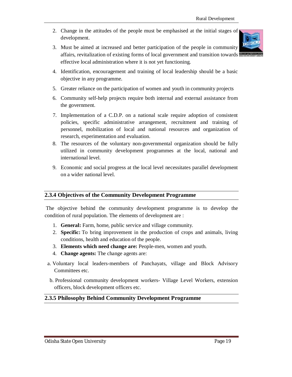2. Change in the attitudes of the people must be emphasised at the initial stages of development.



- 3. Must be aimed at increased and better participation of the people in community affairs, revitalization of existing forms of local government and transition towards effective local administration where it is not yet functioning.
- 4. Identification, encouragement and training of local leadership should be a basic objective in any programme.
- 5. Greater reliance on the participation of women and youth in community projects
- 6. Community self-help projects require both internal and external assistance from the government.
- 7. Implementation of a C.D.P. on a national scale require adoption of consistent policies, specific administrative arrangement, recruitment and training of personnel, mobilization of local and national resources and organization of research, experimentation and evaluation.
- 8. The resources of the voluntary non-governmental organization should be fully utilized in community development programmes at the local, national and international level.
- 9. Economic and social progress at the local level necessitates parallel development on a wider national level.

#### **2.3.4 Objectives of the Community Development Programme**

The objective behind the community development programme is to develop the condition of rural population. The elements of development are :

- 1. **General:** Farm, home, public service and village community.
- 2. **Specific:** To bring improvement in the production of crops and animals, living conditions, health and education of the people.
- 3. **Elements which need change are:** People-men, women and youth.
- 4. **Change agents:** The change agents are:
- a. Voluntary local leaders-members of Panchayats, village and Block Advisory Committees etc.
- b. Professional community development workers- Village Level Workers, extension officers, block development officers etc.

#### **2.3.5 Philosophy Behind Community Development Programme**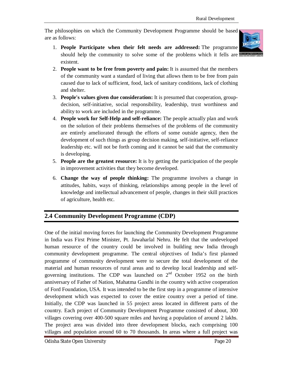The philosophies on which the Community Development Programme should be based are as follows:



- 1. **People Participate when their felt needs are addressed:** The programme should help the community to solve some of the problems which it fells are existent.
- 2. **People want to be free from poverty and pain:** It is assumed that the members of the community want a standard of living that allows them to be free from pain caused due to lack of sufficient, food, lack of sanitary conditions, lack of clothing and shelter.
- 3. **People's values given due consideration:** It is presumed that cooperation, groupdecision, self-initiative, social responsibility, leadership, trust worthiness and ability to work are included in the programme.
- 4. **People work for Self-Help and self-reliance:** The people actually plan and work on the solution of their problems themselves of the problems of the community are entirely ameliorated through the efforts of some outside agency, then the development of such things as group decision making, self-initiative, self-reliance leadership etc. will not be forth coming and it cannot be said that the community is developing.
- 5. **People are the greatest resource:** It is by getting the participation of the people in improvement activities that they become developed.
- 6. **Change the way of people thinking:** The programme involves a change in attitudes, habits, ways of thinking, relationships among people in the level of knowledge and intellectual advancement of people, changes in their skill practices of agriculture, health etc.

# **2.4 Community Development Programme (CDP)**

One of the initial moving forces for launching the Community Development Programme in India was First Prime Minister, Pt. Jawaharlal Nehru. He felt that the undeveloped human resource of the country could be involved in building new India through community development programme. The central objectives of India's first planned programme of community development were to secure the total development of the material and human resources of rural areas and to develop local leadership and selfgoverning institutions. The CDP was launched on  $2<sup>nd</sup>$  October 1952 on the birth anniversary of Father of Nation, Mahatma Gandhi in the country with active cooperation of Ford Foundation, USA. It was intended to be the first step in a programme of intensive development which was expected to cover the entire country over a period of time. Initially, the CDP was launched in 55 project areas located in different parts of the country. Each project of Community Development Programme consisted of about, 300 villages covering over 400-500 square miles and having a population of around 2 lakhs. The project area was divided into three development blocks, each comprising 100 villages and population around 60 to 70 thousands. In areas where a full project was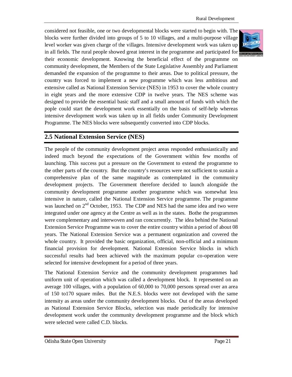considered not feasible, one or two developmental blocks were started to begin with. The blocks were further divided into groups of 5 to 10 villages, and a multi-purpose village level worker was given charge of the villages. Intensive development work was taken up in all fields. The rural people showed great interest in the programme and participated for their economic development. Knowing the beneficial effect of the programme on community development, the Members of the State Legislative Assembly and Parliament demanded the expansion of the programme to their areas. Due to political pressure, the country was forced to implement a new programme which was less ambitious and extensive called as National Extension Service (NES) in 1953 to cover the whole country in eight years and the more extensive CDP in twelve years. The NES scheme was designed to provide the essential basic staff and a small amount of funds with which the pople could start the development work essentially on the basis of self-help whereas intensive development work was taken up in all fields under Community Development Programme. The NES blocks were subsequently converted into CDP blocks.



# **2.5 National Extension Service (NES)**

The people of the community development project areas responded enthusiastically and indeed much beyond the expectations of the Government within few months of launching. This success put a pressure on the Government to extend the programme to the other parts of the country. But the country's resources were not sufficient to sustain a comprehensive plan of the same magnitude as contemplated in the community development projects. The Government therefore decided to launch alongside the community development programme another programme which was somewhat less intensive in nature, called the National Extension Service programme. The programme was launched on  $2<sup>nd</sup>$  October, 1953. The CDP and NES had the same idea and two were integrated under one agency at the Centre as well as in the states. Bothe the programmes were complementary and interwoven and ran concurrently. The idea behind the National Extension Service Programme was to cover the entire country within a period of about 08 years. The National Extension Service was a permanent organization and covered the whole country. It provided the basic organization, official, non-official and a minimum financial provision for development. National Extension Service blocks in which successful results had been achieved with the maximum popular co-operation were selected for intensive development for a period of three years.

The National Extension Service and the community development programmes had uniform unit of operation which was called a development block. It represented on an average 100 villages, with a population of 60,000 to 70,000 persons spread over an area of 150 to170 square miles. But the N.E.S. blocks were not developed with the same intensity as areas under the community development blocks. Out of the areas developed as National Extension Service Blocks, selection was made periodically for intensive development work under the community development programme and the block which were selected were called C.D. blocks.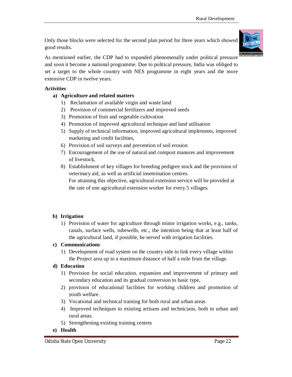Only those blocks were selected for the second plan period for three years which showed good results.



As mentioned earlier, the CDP had to expanded phenomenally under political pressure and soon it become a national programme. Due to political pressure, India was obliged to set a target to the whole country with NES programme in eight years and the more extensive CDP in twelve years.

#### **Activities**

- **a) Agriculture and related matters**
	- 1) Reclamation of available virgin and waste land
	- 2) Provision of commercial fertilizers and improved seeds
	- 3) Promotion of fruit and vegetable cultivation
	- 4) Promotion of improved agricultural technique and land utilisation
	- 5) Supply of technical information, improved agricultural implements, improved marketing and credit facilities,
	- 6) Provision of soil surveys and prevention of soil erosion
	- 7) Encouragement of the use of natural and compost manures and improvement of livestock,
	- 8) Establishment of key villages for breeding pedigree stock and the provision of veterinary aid, as well as artificial insemination centres. For attaining this objective, agricultural extension service will be provided at the rate of one agricultural extension worker for every 5 villages.

#### **b) Irrigation**

1) Provision of water for agriculture through minor irrigation works, e.g., tanks, canals, surface wells, tubewells, etc., the intention being that at least half of the agricultural land, if possible, be served with irrigation facilities.

#### **c) Communications**

1) Development of road system on the country side to link every village within the Project area up to a maximum distance of half a mile from the village.

#### **d) Education**

- 1) Provision for social education, expansion and improvement of primary and secondary education and its gradual conversion to basic type,
- 2) provision of educational facilities for working children and promotion of youth welfare.
- 3) Vocational and technical training for both rural and urban areas
- 4) Improved techniques to existing artisans and technicians, both in urban and rural areas.
- 5) Strengthening existing training centres
- **e) Health**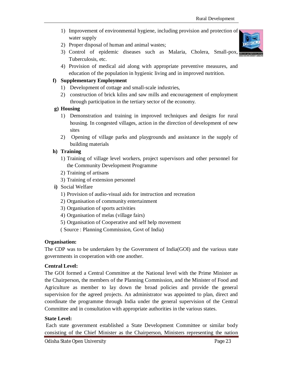- 1) Improvement of environmental hygiene, including provision and protection of water supply
- 2) Proper disposal of human and animal wastes;
- 3) Control of epidemic diseases such as Malaria, Cholera, Small-pox, Tuberculosis, etc.



4) Provision of medical aid along with appropriate preventive measures, and education of the population in hygienic living and in improved nutrition.

#### **f) Supplementary Employment**

- 1) Development of cottage and small-scale industries,
- 2) construction of brick kilns and saw mills and encouragement of employment through participation in the tertiary sector of the economy.

#### **g) Housing**

- 1) Demonstration and training in improved techniques and designs for rural housing. In congested villages, action in the direction of development of new sites
- 2) Opening of village parks and playgrounds and assistance in the supply of building materials

#### **h) Training**

- 1) Training of village level workers, project supervisors and other personnel for the Community Development Programme
- 2) Training of artisans
- 3) Training of extension personnel
- **i)** Social Welfare
	- 1) Provision of audio-visual aids for instruction and recreation
	- 2) Organisation of community entertainment
	- 3) Organisation of sports activities
	- 4) Organisation of melas (village fairs)
	- 5) Organisation of Cooperative and self help movement
	- ( Source : Planning Commission, Govt of India)

#### **Organisation:**

The CDP was to be undertaken by the Government of India(GOI) and the various state governments in cooperation with one another.

#### **Central Level:**

The GOI formed a Central Committee at the National level with the Prime Minister as the Chairperson, the members of the Planning Commission, and the Minister of Food and Agriculture as member to lay down the broad policies and provide the general supervision for the agreed projects. An administrator was appointed to plan, direct and coordinate the programme through India under the general supervision of the Central Committee and in consultation with appropriate authorities in the various states.

#### **State Level:**

Each state government established a State Development Committee or similar body consisting of the Chief Minister as the Chairperson, Ministers representing the nation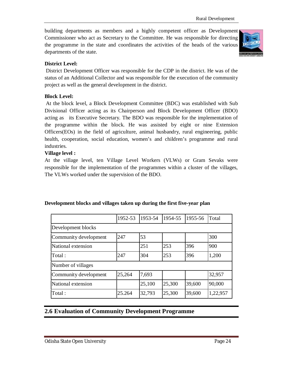building departments as members and a highly competent officer as Development Commissioner who act as Secretary to the Committee. He was responsible for directing the programme in the state and coordinates the activities of the heads of the various departments of the state.



#### **District Level:**

District Development Officer was responsible for the CDP in the district. He was of the status of an Additional Collector and was responsible for the execution of the community project as well as the general development in the district.

#### **Block Level:**

At the block level, a Block Development Committee (BDC) was established with Sub Divisional Officer acting as its Chairperson and Block Development Officer (BDO) acting as its Executive Secretary. The BDO was responsible for the implementation of the programme within the block. He was assisted by eight or nine Extension Officers(EOs) in the field of agriculture, animal husbandry, rural engineering, public health, cooperation, social education, women's and children's programme and rural industries.

#### **Village level :**

At the village level, ten Village Level Workers (VLWs) or Gram Sevaks were responsible for the implementation of the programmes within a cluster of the villages, The VLWs worked under the supervision of the BDO.

|                       | 1952-53 | 1953-54 | 1954-55 | 1955-56 | Total    |
|-----------------------|---------|---------|---------|---------|----------|
| Development blocks    |         |         |         |         |          |
| Community development | 247     | 53      |         |         | 300      |
| National extension    |         | 251     | 253     | 396     | 900      |
| Total:                | 247     | 304     | 253     | 396     | 1,200    |
| Number of villages    |         |         |         |         |          |
| Community development | 25,264  | 7,693   |         |         | 32,957   |
| National extension    |         | 25,100  | 25,300  | 39,600  | 90,000   |
| Total:                | 25.264  | 32,793  | 25,300  | 39,600  | 1,22,957 |

#### **Development blocks and villages taken up during the first five-year plan**

#### **2.6 Evaluation of Community Development Programme**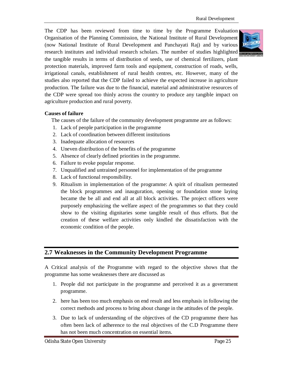The CDP has been reviewed from time to time by the Programme Evaluation Organisation of the Planning Commission, the National Institute of Rural Development (now National Institute of Rural Development and Panchayati Raj) and by various research institutes and individual research scholars. The number of studies highlighted the tangible results in terms of distribution of seeds, use of chemical fertilizers, plant protection materials, improved farm tools and equipment, construction of roads, wells, irrigational canals, establishment of rural health centres, etc. However, many of the studies also reported that the CDP failed to achieve the expected increase in agriculture production. The failure was due to the financial, material and administrative resources of the CDP were spread too thinly across the country to produce any tangible impact on agriculture production and rural poverty.

#### **Causes of failure**

The causes of the failure of the community development programme are as follows:

- 1. Lack of people participation in the programme
- 2. Lack of coordination between different institutions
- 3. Inadequate allocation of resources
- 4. Uneven distribution of the benefits of the programme
- 5. Absence of clearly defined priorities in the programme.
- 6. Failure to evoke popular response.
- 7. Unqualified and untrained personnel for implementation of the programme
- 8. Lack of functional responsibility.
- 9. Ritualism in implementation of the programme: A spirit of ritualism permeated the block programmes and inauguration, opening or foundation stone laying became the be all and end all at all block activities. The project officers were purposely emphasizing the welfare aspect of the programmes so that they could show to the visiting dignitaries some tangible result of thus efforts. But the creation of these welfare activities only kindled the dissatisfaction with the economic condition of the people.

#### **2.7 Weaknesses in the Community Development Programme**

A Critical analysis of the Programme with regard to the objective shows that the programme has some weaknesses there are discussed as

- 1. People did not participate in the programme and perceived it as a government programme.
- 2. here has been too much emphasis on end result and less emphasis in following the correct methods and process to bring about change in the attitudes of the people.
- 3. Due to lack of understanding of the objectives of the CD programme there has often been lack of adherence to the real objectives of the C.D Programme there has not been much concentration on essential items.

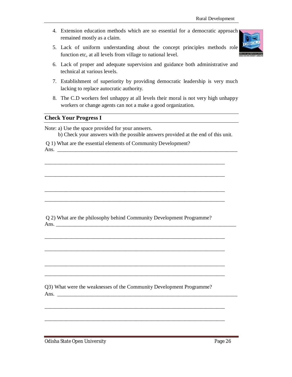- 4. Extension education methods which are so essential for a democratic approach remained mostly as a claim.
- 5. Lack of uniform understanding about the concept principles methods role function etc, at all levels from village to national level.



- 6. Lack of proper and adequate supervision and guidance both administrative and technical at various levels.
- 7. Establishment of superiority by providing democratic leadership is very much lacking to replace autocratic authority.
- 8. The C.D workers feel unhappy at all levels their moral is not very high unhappy workers or change agents can not a make a good organization.

#### **Check Your Progress I**

Note: a) Use the space provided for your answers.

b) Check your answers with the possible answers provided at the end of this unit.

\_\_\_\_\_\_\_\_\_\_\_\_\_\_\_\_\_\_\_\_\_\_\_\_\_\_\_\_\_\_\_\_\_\_\_\_\_\_\_\_\_\_\_\_\_\_\_\_\_\_\_\_\_\_\_\_\_\_\_\_\_\_\_\_\_\_\_

\_\_\_\_\_\_\_\_\_\_\_\_\_\_\_\_\_\_\_\_\_\_\_\_\_\_\_\_\_\_\_\_\_\_\_\_\_\_\_\_\_\_\_\_\_\_\_\_\_\_\_\_\_\_\_\_\_\_\_\_\_\_\_\_\_\_\_

\_\_\_\_\_\_\_\_\_\_\_\_\_\_\_\_\_\_\_\_\_\_\_\_\_\_\_\_\_\_\_\_\_\_\_\_\_\_\_\_\_\_\_\_\_\_\_\_\_\_\_\_\_\_\_\_\_\_\_\_\_\_\_\_\_\_\_

\_\_\_\_\_\_\_\_\_\_\_\_\_\_\_\_\_\_\_\_\_\_\_\_\_\_\_\_\_\_\_\_\_\_\_\_\_\_\_\_\_\_\_\_\_\_\_\_\_\_\_\_\_\_\_\_\_\_\_\_\_\_\_\_\_\_\_

\_\_\_\_\_\_\_\_\_\_\_\_\_\_\_\_\_\_\_\_\_\_\_\_\_\_\_\_\_\_\_\_\_\_\_\_\_\_\_\_\_\_\_\_\_\_\_\_\_\_\_\_\_\_\_\_\_\_\_\_\_\_\_\_\_\_\_

\_\_\_\_\_\_\_\_\_\_\_\_\_\_\_\_\_\_\_\_\_\_\_\_\_\_\_\_\_\_\_\_\_\_\_\_\_\_\_\_\_\_\_\_\_\_\_\_\_\_\_\_\_\_\_\_\_\_\_\_\_\_\_\_\_\_\_

\_\_\_\_\_\_\_\_\_\_\_\_\_\_\_\_\_\_\_\_\_\_\_\_\_\_\_\_\_\_\_\_\_\_\_\_\_\_\_\_\_\_\_\_\_\_\_\_\_\_\_\_\_\_\_\_\_\_\_\_\_\_\_\_\_\_\_

\_\_\_\_\_\_\_\_\_\_\_\_\_\_\_\_\_\_\_\_\_\_\_\_\_\_\_\_\_\_\_\_\_\_\_\_\_\_\_\_\_\_\_\_\_\_\_\_\_\_\_\_\_\_\_\_\_\_\_\_\_\_\_\_\_\_\_

\_\_\_\_\_\_\_\_\_\_\_\_\_\_\_\_\_\_\_\_\_\_\_\_\_\_\_\_\_\_\_\_\_\_\_\_\_\_\_\_\_\_\_\_\_\_\_\_\_\_\_\_\_\_\_\_\_\_\_\_\_\_\_\_\_\_\_

\_\_\_\_\_\_\_\_\_\_\_\_\_\_\_\_\_\_\_\_\_\_\_\_\_\_\_\_\_\_\_\_\_\_\_\_\_\_\_\_\_\_\_\_\_\_\_\_\_\_\_\_\_\_\_\_\_\_\_\_\_\_\_\_\_\_\_

Q 1) What are the essential elements of Community Development?

Ans.

Q 2) What are the philosophy behind Community Development Programme? Ans. \_\_\_\_\_\_\_\_\_\_\_\_\_\_\_\_\_\_\_\_\_\_\_\_\_\_\_\_\_\_\_\_\_\_\_\_\_\_\_\_\_\_\_\_\_\_\_\_\_\_\_\_\_\_\_\_\_\_\_\_\_\_\_\_\_\_\_

Q3) What were the weaknesses of the Community Development Programme? Ans.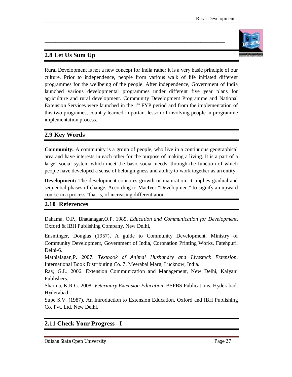# **2.8 Let Us Sum Up**



Rural Development is not a new concept for India rather it is a very basic principle of our culture. Prior to independence, people from various walk of life initiated different programmes for the wellbeing of the people. After independence, Government of India launched various developmental programmes under different five year plans for agriculture and rural development. Community Development Programme and National Extension Services were launched in the  $1<sup>st</sup> FYP$  period and from the implementation of this two programes, country learned important lesson of involving people in programme implementation process.

\_\_\_\_\_\_\_\_\_\_\_\_\_\_\_\_\_\_\_\_\_\_\_\_\_\_\_\_\_\_\_\_\_\_\_\_\_\_\_\_\_\_\_\_\_\_\_\_\_\_\_\_\_\_\_\_\_\_\_\_\_\_\_\_\_\_\_

\_\_\_\_\_\_\_\_\_\_\_\_\_\_\_\_\_\_\_\_\_\_\_\_\_\_\_\_\_\_\_\_\_\_\_\_\_\_\_\_\_\_\_\_\_\_\_\_\_\_\_\_\_\_\_\_\_\_\_\_\_\_\_\_\_\_\_

# **2.9 Key Words**

**Community:** A community is a group of people, who live in a continuous geographical area and have interests in each other for the purpose of making a living. It is a part of a larger social system which meet the basic social needs, through the function of which people have developed a sense of belongingness and ability to work together as an entity.

**Development:** The development connotes growth or maturation. It implies gradual and sequential phases of change. According to MacIver "Development" to signify an upward course in a process "that is, of increasing differentiation.

# **2.10 References**

Dahama, O.P., Bhatanagar,O.P. 1985. *Education and Communication for Development*, Oxford & IBH Publishing Company, New Delhi,

Ensminger, Douglas (1957), A guide to Community Development, Ministry of Community Development, Government of India, Coronation Printing Works, Fatehpuri, Delhi-6.

Mathialagan,P. 2007. *Textbook of Animal Husbandry and Livestock Extension*, International Book Distributing Co. 7, Meerabai Marg, Lucknow, India.

Ray, G.L. 2006. Extension Communication and Management, New Delhi, Kalyani Publishers.

Sharma, K.R.G. 2008. *Veterinary Extension Education*, BSPBS Publications, Hyderabad, Hyderabad,

Supe S.V. (1987), An Introduction to Extension Education, Oxford and IBH Publishing Co. Pvt. Ltd. New Delhi.

# **2.11 Check Your Progress –I**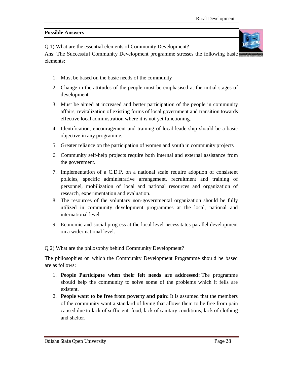#### **Possible Answers**

Q 1) What are the essential elements of Community Development?

Ans: The Successful Community Development programme stresses the following basic elements:

- 1. Must be based on the basic needs of the community
- 2. Change in the attitudes of the people must be emphasised at the initial stages of development.
- 3. Must be aimed at increased and better participation of the people in community affairs, revitalization of existing forms of local government and transition towards effective local administration where it is not yet functioning.
- 4. Identification, encouragement and training of local leadership should be a basic objective in any programme.
- 5. Greater reliance on the participation of women and youth in community projects
- 6. Community self-help projects require both internal and external assistance from the government.
- 7. Implementation of a C.D.P. on a national scale require adoption of consistent policies, specific administrative arrangement, recruitment and training of personnel, mobilization of local and national resources and organization of research, experimentation and evaluation.
- 8. The resources of the voluntary non-governmental organization should be fully utilized in community development programmes at the local, national and international level.
- 9. Economic and social progress at the local level necessitates parallel development on a wider national level.

Q 2) What are the philosophy behind Community Development?

The philosophies on which the Community Development Programme should be based are as follows:

- 1. **People Participate when their felt needs are addressed:** The programme should help the community to solve some of the problems which it fells are existent.
- 2. **People want to be free from poverty and pain:** It is assumed that the members of the community want a standard of living that allows them to be free from pain caused due to lack of sufficient, food, lack of sanitary conditions, lack of clothing and shelter.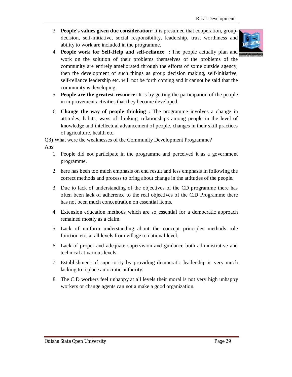3. **People's values given due consideration:** It is presumed that cooperation, groupdecision, self-initiative, social responsibility, leadership, trust worthiness and ability to work are included in the programme.



- 4. **People work for Self-Help and self-reliance :** The people actually plan and work on the solution of their problems themselves of the problems of the community are entirely ameliorated through the efforts of some outside agency, then the development of such things as group decision making, self-initiative, self-reliance leadership etc. will not be forth coming and it cannot be said that the community is developing.
- 5. **People are the greatest resource:** It is by getting the participation of the people in improvement activities that they become developed.
- 6. **Change the way of people thinking :** The programme involves a change in attitudes, habits, ways of thinking, relationships among people in the level of knowledge and intellectual advancement of people, changes in their skill practices of agriculture, health etc.

Q3) What were the weaknesses of the Community Development Programme?

#### Ans:

- 1. People did not participate in the programme and perceived it as a government programme.
- 2. here has been too much emphasis on end result and less emphasis in following the correct methods and process to bring about change in the attitudes of the people.
- 3. Due to lack of understanding of the objectives of the CD programme there has often been lack of adherence to the real objectives of the C.D Programme there has not been much concentration on essential items.
- 4. Extension education methods which are so essential for a democratic approach remained mostly as a claim.
- 5. Lack of uniform understanding about the concept principles methods role function etc, at all levels from village to national level.
- 6. Lack of proper and adequate supervision and guidance both administrative and technical at various levels.
- 7. Establishment of superiority by providing democratic leadership is very much lacking to replace autocratic authority.
- 8. The C.D workers feel unhappy at all levels their moral is not very high unhappy workers or change agents can not a make a good organization.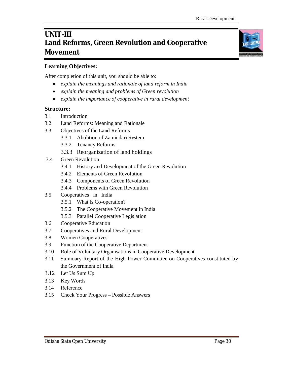# **UNIT-III Land Reforms, Green Revolution and Cooperative Movement**

#### **Learning Objectives:**

After completion of this unit, you should be able to:

- *explain the meanings and rationale of land reform in India*
- *explain the meaning and problems of Green revolution*
- *explain the importance of cooperative in rural development*

#### **Structure:**

- 3.1 Introduction
- 3.2 Land Reforms: Meaning and Rationale
- 3.3 Objectives of the Land Reforms
	- 3.3.1 Abolition of Zamindari System
	- 3.3.2 Tenancy Reforms
	- 3.3.3 Reorganization of land holdings
- 3.4 Green Revolution
	- 3.4.1 History and Development of the Green Revolution
	- 3.4.2 Elements of Green Revolution
	- 3.4.3 Components of Green Revolution
	- 3.4.4 Problems with Green Revolution
- 3.5 Cooperatives in India
	- 3.5.1 What is Co-operation?
	- 3.5.2 The Cooperative Movement in India
	- 3.5.3 Parallel Cooperative Legislation
- 3.6 Cooperative Education
- 3.7 Cooperatives and Rural Development
- 3.8 Women Cooperatives
- 3.9 Function of the Cooperative Department
- 3.10 Role of Voluntary Organisations in Cooperative Development
- 3.11 Summary Report of the High Power Committee on Cooperatives constituted by the Government of India
- 3.12 Let Us Sum Up
- 3.13 Key Words
- 3.14 Reference
- 3.15 Check Your Progress Possible Answers

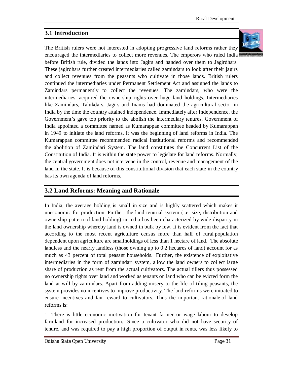# **3.1 Introduction**

The British rulers were not interested in adopting progressive land reforms rather they



encouraged the intermediaries to collect more revenues. The emperors who ruled India before British rule, divided the lands into Jagirs and handed over them to Jagirdhars. These jagirdhars further created intermediaries called zamindars to look after their jagirs and collect revenues from the peasants who cultivate in those lands. British rulers continued the intermediaries under Permanent Settlement Act and assigned the lands to Zamindars permanently to collect the revenues. The zamindars, who were the intermediaries, acquired the ownership rights over huge land holdings. Intermediaries like Zamindars, Talukdars, Jagirs and Inams had dominated the agricultural sector in India by the time the country attained independence. Immediately after Independence, the Government's gave top priority to the abolish the intermediary tenures. Government of India appointed a committee named as Kumarappan committee headed by Kumarappan in 1949 to initiate the land reforms. It was the beginning of land reforms in India. The Kumarappan committee recommended radical institutional reforms and recommended the abolition of Zamindari System. The land constitutes the Concurrent List of the Constitution of India. It is within the state power to legislate for land reforms. Normally, the central government does not intervene in the control, revenue and management of the land in the state. It is because of this constitutional division that each state in the country has its own agenda of land reforms.

# **3.2 Land Reforms: Meaning and Rationale**

In India, the average holding is small in size and is highly scattered which makes it uneconomic for production. Further, the land tenurial system (i.e. size, distribution and ownership pattern of land holding) in India has been characterized by wide disparity in the land ownership whereby land is owned in bulk by few. It is evident from the fact that according to the most recent agriculture census more than half of rural population dependent upon agriculture are smallholdings of less than 1 hectare of land. The absolute landless and the nearly landless (those owning up to 0.2 hectares of land) account for as much as 43 percent of total peasant households. Further, the existence of exploitative intermediaries in the form of zamindari system, allow the land owners to collect large share of production as rent from the actual cultivators. The actual tillers thus possessed no ownership rights over land and worked as tenants on land who can be evicted form the land at will by zamindars. Apart from adding misery to the life of tiling peasants, the system provides no incentives to improve productivity. The land reforms were initiated to ensure incentives and fair reward to cultivators. Thus the important rationale of land reforms is:

1. There is little economic motivation for tenant farmer or wage labour to develop farmland for increased production. Since a cultivator who did not have security of tenure, and was required to pay a high proportion of output in rents, was less likely to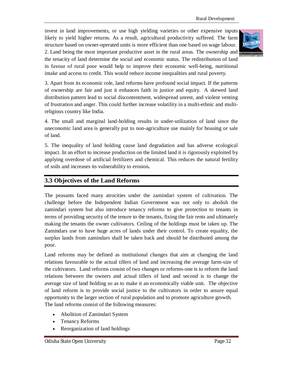invest in land improvements, or use high yielding varieties or other expensive inputs likely to yield higher returns. As a result, agricultural productivity suffered. The farm structure based on owner-operated units is more efficient than one based on wage labour. 2. Land being the most important productive asset in the rural areas. The ownership and the tenacity of land determine the social and economic status. The redistribution of land in favour of rural poor would help to improve their economic well-being, nutritional intake and access to credit. This would reduce income inequalities and rural poverty.



3. Apart from its economic role, land reforms have profound social impact. If the patterns of ownership are fair and just it enhances faith in justice and equity. A skewed land distribution pattern lead to social discontentment, widespread unrest, and violent venting of frustration and anger. This could further increase volatility in a multi-ethnic and multireligious country like India.

4. The small and marginal land-holding results in under-utilization of land since the uneconomic land area is generally put to non-agriculture use mainly for housing or sale of land.

5. The inequality of land holding cause land degradation and has adverse ecological impact. In an effort to increase production on the limited land it is rigorously exploited by applying overdose of artificial fertilizers and chemical. This reduces the natural fertility of soils and increases its vulnerability to erosion**.**

# **3.3 Objectives of the Land Reforms**

The peasants faced many atrocities under the zamindari system of cultivation. The challenge before the Independent Indian Government was not only to abolish the zamindari system but also introduce tenancy reforms to give protection to tenants in terms of providing security of the tenure to the tenants, fixing the fair rents and ultimately making the tenants the owner cultivators. Ceiling of the holdings must be taken up. The Zamindars use to have huge acres of lands under their control. To create equality, the surplus lands from zamindars shall be taken back and should be distributed among the poor.

Land reforms may be defined as institutional changes that aim at changing the land relations favourable to the actual tillers of land and increasing the average farm-size of the cultivators. Land reforms consist of two changes or reforms-one is to reform the land relations between the owners and actual tillers of land and second is to change the average size of land holding so as to make it an economically viable unit. The objective of land reform is to provide social justice to the cultivators in order to assure equal opportunity to the larger section of rural population and to promote agriculture growth. The land reforms consist of the following measures:

- Abolition of Zamindari System
- Tenancy Reforms
- Reorganization of land holdings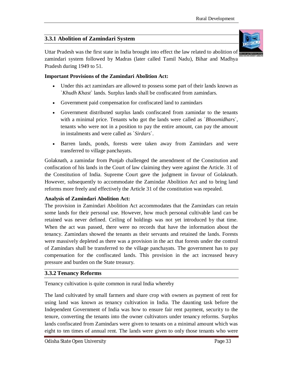# **3.3.1 Abolition of Zamindari System**

Uttar Pradesh was the first state in India brought into effect the law related to abolition of zamindari system followed by Madras (later called Tamil Nadu), Bihar and Madhya Pradesh during 1949 to 51.

#### **Important Provisions of the Zamindari Abolition Act:**

- Under this act zamindars are allowed to possess some part of their lands known as `*Khudh Khast*` lands. Surplus lands shall be confiscated from zamindars.
- Government paid compensation for confiscated land to zamindars
- Government distributed surplus lands confiscated from zamindar to the tenants with a minimal price. Tenants who got the lands were called as `*Bhoomidhars*`, tenants who were not in a position to pay the entire amount, can pay the amount in instalments and were called as `*Sirdars*`.
- Barren lands, ponds, forests were taken away from Zamindars and were transferred to village panchayats.

Golaknath, a zamindar from Punjab challenged the amendment of the Constitution and confiscation of his lands in the Court of law claiming they were against the Article. 31 of the Constitution of India. Supreme Court gave the judgment in favour of Golaknath. However, subsequently to accommodate the Zamindar Abolition Act and to bring land reforms more freely and effectively the Article 31 of the constitution was repealed.

#### **Analysis of Zamindari Abolition Act:**

The provision in Zamindari Abolition Act accommodates that the Zamindars can retain some lands for their personal use. However, how much personal cultivable land can be retained was never defined. Ceiling of holdings was not yet introduced by that time. When the act was passed, there were no records that have the information about the tenancy. Zamindars showed the tenants as their servants and retained the lands. Forests were massively depleted as there was a provision in the act that forests under the control of Zamindars shall be transferred to the village panchayats. The government has to pay compensation for the confiscated lands. This provision in the act increased heavy pressure and burden on the State treasury.

#### **3.3.2 Tenancy Reforms**

Tenancy cultivation is quite common in rural India whereby

The land cultivated by small farmers and share crop with owners as payment of rent for using land was known as tenancy cultivation in India. The daunting task before the Independent Government of India was how to ensure fair rent payment, security to the tenure, converting the tenants into the owner cultivators under tenancy reforms. Surplus lands confiscated from Zamindars were given to tenants on a minimal amount which was eight to ten times of annual rent. The lands were given to only those tenants who were



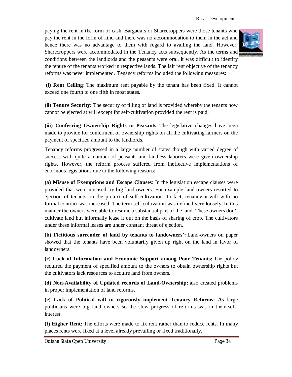paying the rent in the form of cash. Bargadars or Sharecroppers were those tenants who pay the rent in the form of kind and there was no accommodation to them in the act and hence there was no advantage to them with regard to availing the land. However, Sharecroppers were accommodated in the Tenancy acts subsequently. As the terms and conditions between the landlords and the peasants were oral, it was difficult to identify the tenure of the tenants worked in respective lands. The fair rent objective of the tenancy reforms was never implemented. Tenancy reforms included the following measures:



**(i) Rent Ceiling:** The maximum rent payable by the tenant has been fixed. It cannot exceed one fourth to one fifth in most states.

**(ii) Tenure Security:** The security of tilling of land is provided whereby the tenants now cannot be ejected at will except for self-cultivation provided the rent is paid.

**(iii) Conferring Ownership Rights to Peasants:** The legislative changes have been made to provide for conferment of ownership rights on all the cultivating farmers on the payment of specified amount to the landlords.

Tenancy reforms progressed in a large number of states though with varied degree of success with quite a number of peasants and landless laborers were given ownership rights. However, the reform process suffered from ineffective implementations of enormous legislations due to the following reasons:

**(a) Misuse of Exemptions and Escape Clauses**: In the legislation escape clauses were provided that were misused by big land-owners. For example land-owners resorted to ejection of tenants on the pretext of self-cultivation. In fact, tenancy-at-will with no formal contract was increased. The term self-cultivation was defined very loosely. In this manner the owners were able to resume a substantial part of the land. These owners don't cultivate land but informally lease it out on the basis of sharing of crop. The cultivators under these informal leases are under constant threat of ejection.

**(b) Fictitious surrender of land by tenants to landowners':** Land-owners on paper showed that the tenants have been voluntarily given up right on the land in favor of landowners.

**(c) Lack of Information and Economic Support among Poor Tenants:** The policy required the payment of specified amount to the owners to obtain ownership rights but the cultivators lack resources to acquire land from owners.

**(d) Non-Availability of Updated records of Land-Ownership:** also created problems in proper implementation of land reforms.

**(e) Lack of Political will to rigorously implement Tenancy Reforms: A**s large politicians were big land owners so the slow progress of reforms was in their selfinterest.

**(f) Higher Rent:** The efforts were made to fix rent rather than to reduce rents. In many places rents were fixed at a level already prevailing or fixed traditionally.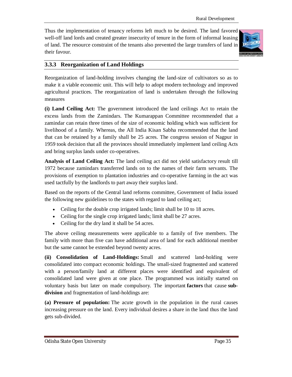Thus the implementation of tenancy reforms left much to be desired. The land favored well-off land lords and created greater insecurity of tenure in the form of informal leasing of land. The resource constraint of the tenants also prevented the large transfers of land in their favour.



# **3.3.3 Reorganization of Land Holdings**

Reorganization of land-holding involves changing the land-size of cultivators so as to make it a viable economic unit. This will help to adopt modern technology and improved agricultural practices. The reorganization of land is undertaken through the following measures

**(i) Land Ceiling Act:** The government introduced the land ceilings Act to retain the excess lands from the Zamindars. The Kumarappan Committee recommended that a zamindar can retain three times of the size of economic holding which was sufficient for livelihood of a family. Whereas, the All India Kisan Sabha recommended that the land that can be retained by a family shall be 25 acres. The congress session of Nagpur in 1959 took decision that all the provinces should immediately implement land ceiling Acts and bring surplus lands under co-operatives.

**Analysis of Land Ceiling Act:** The land ceiling act did not yield satisfactory result till 1972 because zamindars transferred lands on to the names of their farm servants. The provisions of exemption to plantation industries and co-operative farming in the act was used tactfully by the landlords to part away their surplus land.

Based on the reports of the Central land reforms committee, Government of India issued the following new guidelines to the states with regard to land ceiling act;

- Ceiling for the double crop irrigated lands; limit shall be 10 to 18 acres.
- Ceiling for the single crop irrigated lands; limit shall be 27 acres.
- Ceiling for the dry land it shall be 54 acres.

The above ceiling measurements were applicable to a family of five members. The family with more than five can have additional area of land for each additional member but the same cannot be extended beyond twenty acres.

**(ii) Consolidation of Land-Holdings:** Small and scattered land-holding were consolidated into compact economic holdings. The small-sized fragmented and scattered with a person/family land at different places were identified and equivalent of consolidated land were given at one place. The programmed was initially started on voluntary basis but later on made compulsory. The important **factors** that cause **subdivision** and fragmentation of land-holdings are:

**(a) Pressure of population:** The acute growth in the population in the rural causes increasing pressure on the land. Every individual desires a share in the land thus the land gets sub-divided.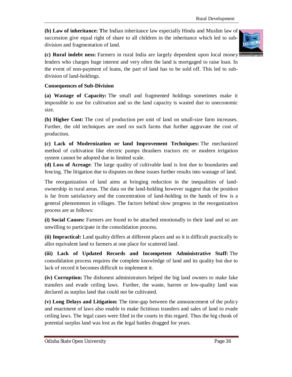**(b) Law of inheritance: T**he Indian inheritance law especially Hindu and Muslim law of succession give equal right of share to all children in the inheritance which led to subdivision and fragmentation of land.



**(c) Rural indebt ness:** Farmers in rural India are largely dependent upon local money

lenders who charges huge interest and very often the land is mortgaged to raise loan. In the event of non-payment of loans, the part of land has to be sold off. This led to subdivision of land-holdings.

#### **Consequences of Sub-Division**

**(a) Wastage of Capacity:** The small and fragmented holdings sometimes make it impossible to use for cultivation and so the land capacity is wasted due to uneconomic size.

**(b) Higher Cost:** The cost of production per unit of land on small-size farm increases. Further, the old techniques are used on such farms that further aggravate the cost of production.

**(c) Lack of Modernization or land Improvement Techniques:** The mechanized method of cultivation like electric pumps thrashers tractors etc or modern irrigation system cannot be adopted due to limited scale.

**(d) Loss of Acreage**: The large quality of cultivable land is lost due to boundaries and fencing. The litigation due to disputes on these issues further results into wastage of land.

The reorganization of land aims at bringing reduction in the inequalities of landownership in rural areas. The data on the land-holding however suggest that the position is far from satisfactory and the concentration of land-holding in the hands of few is a general phenomenon in villages. The factors behind slow progress in the reorganization process are as follows:

**(i) Social Causes:** Farmers are found to be attached emotionally to their land and so are unwilling to participate in the consolidation process.

**(ii) Impractical:** Land quality differs at different places and so it is difficult practically to allot equivalent land to farmers at one place for scattered land.

**(iii) Lack of Updated Records and Incompetent Administrative Staff:** The consolidation process requires the complete knowledge of land and its quality but due to lack of record it becomes difficult to implement it.

**(iv) Corruption:** The dishonest administrators helped the big land owners to make fake transfers and evade ceiling laws. Further, the waste, barren or low-quality land was declared as surplus land that could not be cultivated.

**(v) Long Delays and Litigation:** The time-gap between the announcement of the policy and enactment of laws also enable to make fictitious transfers and sales of land to evade ceiling laws. The legal cases were filed in the courts in this regard. Thus the big chunk of potential surplus land was lost as the legal battles dragged for years.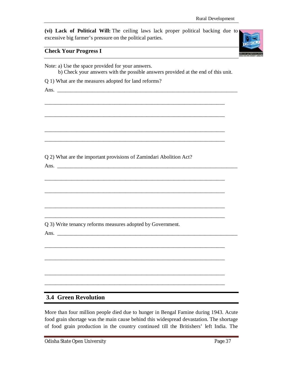**(vi) Lack of Political Will:** The ceiling laws lack proper political backing due to excessive big farmer's pressure on the political parties.

#### **Check Your Progress I**



| Note: a) Use the space provided for your answers.<br>b) Check your answers with the possible answers provided at the end of this unit. |
|----------------------------------------------------------------------------------------------------------------------------------------|
| Q 1) What are the measures adopted for land reforms?                                                                                   |
|                                                                                                                                        |
|                                                                                                                                        |
|                                                                                                                                        |
|                                                                                                                                        |
|                                                                                                                                        |
|                                                                                                                                        |
|                                                                                                                                        |
|                                                                                                                                        |
| Q 2) What are the important provisions of Zamindari Abolition Act?                                                                     |
|                                                                                                                                        |
|                                                                                                                                        |
|                                                                                                                                        |
|                                                                                                                                        |
|                                                                                                                                        |
|                                                                                                                                        |
|                                                                                                                                        |
| Q 3) Write tenancy reforms measures adopted by Government.                                                                             |
|                                                                                                                                        |
|                                                                                                                                        |
|                                                                                                                                        |
|                                                                                                                                        |
|                                                                                                                                        |
|                                                                                                                                        |
|                                                                                                                                        |
|                                                                                                                                        |
| <b>3.4 Green Revolution</b>                                                                                                            |

More than four million people died due to hunger in Bengal Famine during 1943. Acute food grain shortage was the main cause behind this widespread devastation. The shortage of food grain production in the country continued till the Britishers' left India. The

Odisha State Open University **Page 37**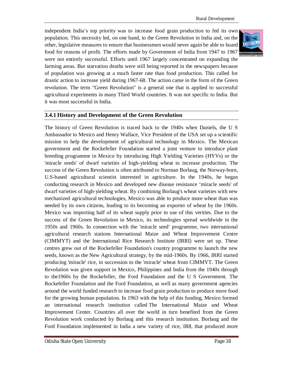independent India's top priority was to increase food grain production to fed its own population. This necessity led, on one hand, to the Green Revolution in India and, on the other, legislative measures to ensure that businessmen would never again be able to hoard food for reasons of profit. The efforts made by Government of India from 1947 to 1967 were not entirely successful. Efforts until 1967 largely concentrated on expanding the farming areas. But starvation deaths were still being reported in the newspapers because of population was growing at a much faster rate than food production. This called for drastic action to increase yield during 1967-68. The action came in the form of the Green revolution. The term "Green Revolution" is a general one that is applied to successful agricultural experiments in many Third World countries. It was not specific to India. But it was most successful in India.

#### **3.4.1 History and Development of the Green Revolution**

The history of Green Revolution is traced back to the 1940s when Daniels, the U S Ambassador to Mexico and Henry Wallace, Vice President of the USA set up a scientific mission to help the development of agricultural technology in Mexico. The Mexican government and the Rockefeller Foundation started a joint venture to introduce plant breeding programme in Mexico by introducing High Yielding Varieties (HYVs) or the 'miracle seeds' of dwarf varieties of high-yielding wheat to increase production. The success of the Green Revolution is often attributed to Norman Borlaug, the Norway-born, U.S-based agricultural scientist interested in agriculture. In the 1940s, he began conducting research in Mexico and developed new disease resistance 'miracle seeds' of dwarf varieties of high-yielding wheat. By combining Borlaug's wheat varieties with new mechanized agricultural technologies, Mexico was able to produce more wheat than was needed by its own citizens, leading to its becoming an exporter of wheat by the 1960s. Mexico was importing half of its wheat supply prior to use of this verities. Due to the success of the Green Revolution in Mexico, its technologies spread worldwide in the 1950s and 1960s. In connection with the 'miracle seed' programme, two international agricultural research stations International Maize and Wheat Improvement Centre (CIMMYT) and the International Rice Research Institute (IRRI) were set up. These centres grew out of the Rockefeller Foundation's country programme to launch the new seeds, known as the New Agricultural strategy, by the mid-1960s. By 1966, IRRI started producing 'miracle' rice, in succession to the 'miracle' wheat from CIMMYT. The Green Revolution was given support in Mexico, Philippines and India from the 1940s through to the1960s by the Rockefeller, the Ford Foundation and the U S Government. The Rockefeller Foundation and the Ford Foundation, as well as many government agencies around the world funded research to increase food grain production to produce more food for the growing human population. In 1963 with the help of this funding, Mexico formed an international research institution called The International Maize and Wheat Improvement Center. Countries all over the world in turn benefited from the Green Revolution work conducted by Borlaug and this research institution. Borlaug and the Ford Foundation implemented in India a new variety of rice, IR8, that produced more

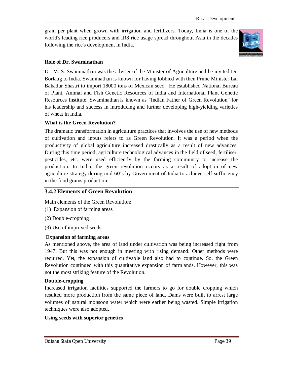grain per plant when grown with irrigation and fertilizers. Today, India is one of the world's leading rice producers and IR8 rice usage spread throughout Asia in the decades following the rice's development in India.



#### **Role of Dr. Swaminathan**

Dr. M. S. Swaminathan was the adviser of the Minister of Agriculture and he invited Dr. Borlaug to India. Swaminathan is known for having lobbied with then Prime Minister Lal Bahadur Shastri to import 18000 tons of Mexican seed. He established National Bureau of Plant, Animal and Fish Genetic Resources of India and International Plant Genetic Resources Institute. Swaminathan is known as "Indian Father of Green Revolution" for his leadership and success in introducing and further developing high-yielding varieties of wheat in India.

#### **What is the Green Revolution?**

The dramatic transformation in agriculture practices that involves the use of new methods of cultivation and inputs refers to as Green Revolution. It was a period when the productivity of global agriculture increased drastically as a result of new advances. During this time period, agriculture technological advances in the field of seed, fertiliser, pesticides, etc. were used efficiently by the farming community to increase the production. In India, the green revolution occurs as a result of adoption of new agriculture strategy during mid 60's by Government of India to achieve self-sufficiency in the food grains production.

#### **3.4.2 Elements of Green Revolution**

Main elements of the Green Revolution:

- (1) Expansion of farming areas
- (2) Double-cropping
- (3) Use of improved seeds

#### **Expansion of farming areas**

As mentioned above, the area of land under cultivation was being increased right from 1947. But this was not enough in meeting with rising demand. Other methods were required. Yet, the expansion of cultivable land also had to continue. So, the Green Revolution continued with this quantitative expansion of farmlands. However, this was not the most striking feature of the Revolution.

#### **Double-cropping**

Increased irrigation facilities supported the farmers to go for double cropping which resulted more production from the same piece of land. Dams were built to arrest large volumes of natural monsoon water which were earlier being wasted. Simple irrigation techniques were also adopted.

#### **Using seeds with superior genetics**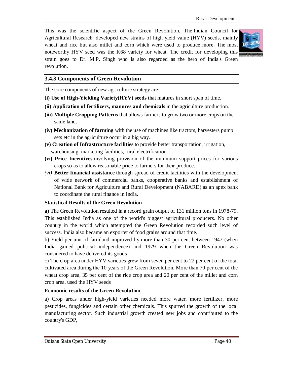This was the scientific aspect of the Green Revolution. The Indian Council for Agricultural Research developed new strains of high yield value (HYV) seeds, mainly wheat and rice but also millet and corn which were used to produce more. The most noteworthy HYV seed was the K68 variety for wheat. The credit for developing this strain goes to Dr. M.P. Singh who is also regarded as the hero of India's Green revolution.



#### **3.4.3 Components of Green Revolution**

The core components of new agriculture strategy are:

- **(i) Use of High-Yielding Variety(HYV) seeds** that matures in short span of time.
- **(ii) Application of fertilizers, manures and chemicals** in the agriculture production.
- **(iii) Multiple Cropping Patterns** that allows farmers to grow two or more crops on the same land.
- **(iv) Mechanization of farming** with the use of machines like tractors, harvesters pump sets etc in the agriculture occur in a big way.
- **(v) Creation of Infrastructure facilities** to provide better transportation, irrigation, warehousing, marketing facilities, rural electrification
- **(vi) Price Incentives** involving provision of the minimum support prices for various crops so as to allow reasonable price to farmers for their produce.
- *(vi)* **Better financial assistance** through spread of credit facilities with the development of wide network of commercial banks, cooperative banks and establishment of National Bank for Agriculture and Rural Development (NABARD) as an apex bank to coordinate the rural finance in India.

#### **Statistical Results of the Green Revolution**

**a)** The Green Revolution resulted in a record grain output of 131 million tons in 1978-79. This established India as one of the world's biggest agricultural producers. No other country in the world which attempted the Green Revolution recorded such level of success. India also became an exporter of food grains around that time.

b) Yield per unit of farmland improved by more than 30 per cent between 1947 (when India gained political independence) and 1979 when the Green Revolution was considered to have delivered its goods

c) The crop area under HYV varieties grew from seven per cent to 22 per cent of the total cultivated area during the 10 years of the Green Revolution. More than 70 per cent of the wheat crop area, 35 per cent of the rice crop area and 20 per cent of the millet and corn crop area, used the HYV seeds

#### **Economic results of the Green Revolution**

a) Crop areas under high-yield varieties needed more water, more fertilizer, more pesticides, fungicides and certain other chemicals. This spurred the growth of the local manufacturing sector. Such industrial growth created new jobs and contributed to the country's GDP,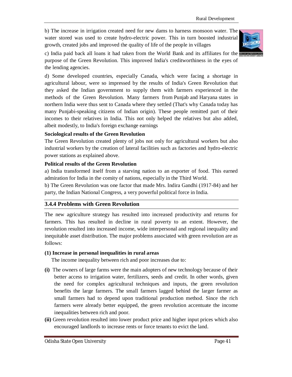b) The increase in irrigation created need for new dams to harness monsoon water. The water stored was used to create hydro-electric power. This in turn boosted industrial growth, created jobs and improved the quality of life of the people in villages



c) India paid back all loans it had taken from the World Bank and its affiliates for the purpose of the Green Revolution. This improved India's creditworthiness in the eyes of the lending agencies.

d) Some developed countries, especially Canada, which were facing a shortage in agricultural labour, were so impressed by the results of India's Green Revolution that they asked the Indian government to supply them with farmers experienced in the methods of the Green Revolution. Many farmers from Punjab and Haryana states in northern India were thus sent to Canada where they settled (That's why Canada today has many Punjabi-speaking citizens of Indian origin). These people remitted part of their incomes to their relatives in India. This not only helped the relatives but also added, albeit modestly, to India's foreign exchange earnings

#### **Sociological results of the Green Revolution**

The Green Revolution created plenty of jobs not only for agricultural workers but also industrial workers by the creation of lateral facilities such as factories and hydro-electric power stations as explained above.

#### **Political results of the Green Revolution**

a) India transformed itself from a starving nation to an exporter of food. This earned admiration for India in the comity of nations, especially in the Third World.

b) The Green Revolution was one factor that made Mrs. Indira Gandhi (1917-84) and her party, the Indian National Congress, a very powerful political force in India.

#### **3.4.4 Problems with Green Revolution**

The new agriculture strategy has resulted into increased productivity and returns for farmers. This has resulted in decline in rural poverty to an extent. However, the revolution resulted into increased income, wide interpersonal and regional inequality and inequitable asset distribution. The major problems associated with green revolution are as follows:

#### **(1) Increase in personal inequalities in rural areas**

The income inequality between rich and poor increases due to:

- **(i)** The owners of large farms were the main adopters of new technology because of their better access to irrigation water, fertilizers, seeds and credit. In other words, given the need for complex agricultural techniques and inputs, the green revolution benefits the large farmers. The small farmers lagged behind the larger farmer as small farmers had to depend upon traditional production method. Since the rich farmers were already better equipped, the green revolution accentuate the income inequalities between rich and poor.
- **(ii)** Green revolution resulted into lower product price and higher input prices which also encouraged landlords to increase rents or force tenants to evict the land.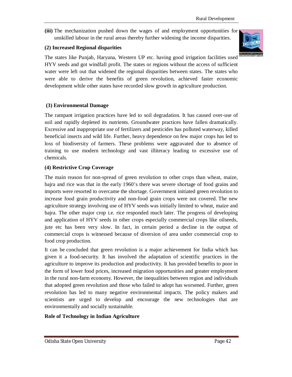**(iii)** The mechanization pushed down the wages of and employment opportunities for unskilled labour in the rural areas thereby further widening the income disparities.

#### **(2) Increased Regional disparities**

The states like Punjab, Haryana, Western UP etc. having good irrigation facilities used HYV seeds and got windfall profit. The states or regions without the access of sufficient water were left out that widened the regional disparities between states. The states who were able to derive the benefits of green revolution, achieved faster economic development while other states have recorded slow growth in agriculture production.

#### **(3) Environmental Damage**

The rampant irrigation practices have led to soil degradation. It has caused over-use of soil and rapidly depleted its nutrients. Groundwater practices have fallen dramatically. Excessive and inappropriate use of fertilizers and pesticides has polluted waterway, killed beneficial insects and wild life. Further, heavy dependence on few major crops has led to loss of biodiversity of farmers. These problems were aggravated due to absence of training to use modern technology and vast illiteracy leading to excessive use of chemicals.

#### **(4) Restrictive Crop Coverage**

The main reason for non-spread of green revolution to other crops than wheat, maize, bajra and rice was that in the early 1960's there was severe shortage of food grains and imports were resorted to overcame the shortage. Government initiated green revolution to increase food grain productivity and non-food grain crops were not covered. The new agriculture strategy involving use of HYV seeds was initially limited to wheat, maize and bajra. The other major crop i.e. rice responded much later. The progress of developing and application of HYV seeds in other crops especially commercial crops like oilseeds, jute etc has been very slow. In fact, in certain period a decline in the output of commercial crops is witnessed because of diversion of area under commercial crop to food crop production.

It can be concluded that green revolution is a major achievement for India which has given it a food-security. It has involved the adaptation of scientific practices in the agriculture to improve its production and productivity. It has provided benefits to poor in the form of lower food prices, increased migration opportunities and greater employment in the rural non-farm economy. However, the inequalities between region and individuals that adopted green revolution and those who failed to adopt has worsened. Further, green revolution has led to many negative environmental impacts. The policy makers and scientists are urged to develop and encourage the new technologies that are environmentally and socially sustainable.

#### **Role of Technology in Indian Agriculture**

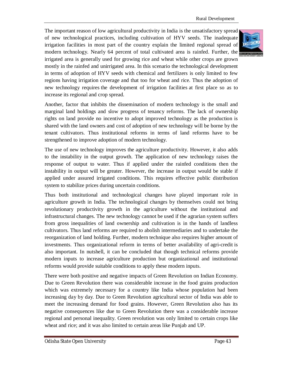The important reason of low agricultural productivity in India is the unsatisfactory spread of new technological practices, including cultivation of HYV seeds. The inadequate irrigation facilities in most part of the country explain the limited regional spread of modern technology. Nearly 64 percent of total cultivated area is rainfed. Further, the irrigated area is generally used for growing rice and wheat while other crops are grown mostly in the rainfed and unirrigated area. In this scenario the technological development in terms of adoption of HYV seeds with chemical and fertilizers is only limited to few regions having irrigation coverage and that too for wheat and rice. Thus the adoption of new technology requires the development of irrigation facilities at first place so as to increase its regional and crop spread.

Another, factor that inhibits the dissemination of modern technology is the small and marginal land holdings and slow progress of tenancy reforms. The lack of ownership rights on land provide no incentive to adopt improved technology as the production is shared with the land owners and cost of adoption of new technology will be borne by the tenant cultivators. Thus institutional reforms in terms of land reforms have to be strengthened to improve adoption of modern technology.

The use of new technology improves the agriculture productivity. However, it also adds to the instability in the output growth. The application of new technology raises the response of output to water. Thus if applied under the rainfed conditions then the instability in output will be greater. However, the increase in output would be stable if applied under assured irrigated conditions. This requires effective public distribution system to stabilize prices during uncertain conditions.

Thus both institutional and technological changes have played important role in agriculture growth in India. The technological changes by themselves could not bring revolutionary productivity growth in the agriculture without the institutional and infrastructural changes. The new technology cannot be used if the agrarian system suffers from gross inequalities of land ownership and cultivation is in the hands of landless cultivators. Thus land reforms are required to abolish intermediaries and to undertake the reorganization of land holding. Further, modern technique also requires higher amount of investments. Thus organizational reform in terms of better availability of agri-credit is also important. In nutshell, it can be concluded that though technical reforms provide modern inputs to increase agriculture production but organizational and institutional reforms would provide suitable conditions to apply these modern inputs.

There were both positive and negative impacts of Green Revolution on Indian Economy. Due to Green Revolution there was considerable increase in the food grains production which was extremely necessary for a country like India whose population had been increasing day by day. Due to Green Revolution agricultural sector of India was able to meet the increasing demand for food grains. However, Green Revolution also has its negative consequences like due to Green Revolution there was a considerable increase regional and personal inequality. Green revolution was only limited to certain crops like wheat and rice; and it was also limited to certain areas like Punjab and UP.



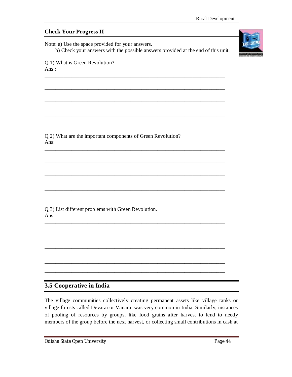**Check Your Progress II** Note: a) Use the space provided for your answers. b) Check your answers with the possible answers provided at the end of this unit. Q 1) What is Green Revolution? Ans : \_\_\_\_\_\_\_\_\_\_\_\_\_\_\_\_\_\_\_\_\_\_\_\_\_\_\_\_\_\_\_\_\_\_\_\_\_\_\_\_\_\_\_\_\_\_\_\_\_\_\_\_\_\_\_\_\_\_\_\_\_\_\_\_\_\_\_ \_\_\_\_\_\_\_\_\_\_\_\_\_\_\_\_\_\_\_\_\_\_\_\_\_\_\_\_\_\_\_\_\_\_\_\_\_\_\_\_\_\_\_\_\_\_\_\_\_\_\_\_\_\_\_\_\_\_\_\_\_\_\_\_\_\_\_ \_\_\_\_\_\_\_\_\_\_\_\_\_\_\_\_\_\_\_\_\_\_\_\_\_\_\_\_\_\_\_\_\_\_\_\_\_\_\_\_\_\_\_\_\_\_\_\_\_\_\_\_\_\_\_\_\_\_\_\_\_\_\_\_\_\_\_ \_\_\_\_\_\_\_\_\_\_\_\_\_\_\_\_\_\_\_\_\_\_\_\_\_\_\_\_\_\_\_\_\_\_\_\_\_\_\_\_\_\_\_\_\_\_\_\_\_\_\_\_\_\_\_\_\_\_\_\_\_\_\_\_\_\_\_ \_\_\_\_\_\_\_\_\_\_\_\_\_\_\_\_\_\_\_\_\_\_\_\_\_\_\_\_\_\_\_\_\_\_\_\_\_\_\_\_\_\_\_\_\_\_\_\_\_\_\_\_\_\_\_\_\_\_\_\_\_\_\_\_\_\_\_ Q 2) What are the important components of Green Revolution? Ans: \_\_\_\_\_\_\_\_\_\_\_\_\_\_\_\_\_\_\_\_\_\_\_\_\_\_\_\_\_\_\_\_\_\_\_\_\_\_\_\_\_\_\_\_\_\_\_\_\_\_\_\_\_\_\_\_\_\_\_\_\_\_\_\_\_\_\_ \_\_\_\_\_\_\_\_\_\_\_\_\_\_\_\_\_\_\_\_\_\_\_\_\_\_\_\_\_\_\_\_\_\_\_\_\_\_\_\_\_\_\_\_\_\_\_\_\_\_\_\_\_\_\_\_\_\_\_\_\_\_\_\_\_\_\_ \_\_\_\_\_\_\_\_\_\_\_\_\_\_\_\_\_\_\_\_\_\_\_\_\_\_\_\_\_\_\_\_\_\_\_\_\_\_\_\_\_\_\_\_\_\_\_\_\_\_\_\_\_\_\_\_\_\_\_\_\_\_\_\_\_\_\_ \_\_\_\_\_\_\_\_\_\_\_\_\_\_\_\_\_\_\_\_\_\_\_\_\_\_\_\_\_\_\_\_\_\_\_\_\_\_\_\_\_\_\_\_\_\_\_\_\_\_\_\_\_\_\_\_\_\_\_\_\_\_\_\_\_\_\_ \_\_\_\_\_\_\_\_\_\_\_\_\_\_\_\_\_\_\_\_\_\_\_\_\_\_\_\_\_\_\_\_\_\_\_\_\_\_\_\_\_\_\_\_\_\_\_\_\_\_\_\_\_\_\_\_\_\_\_\_\_\_\_\_\_\_\_ Q 3) List different problems with Green Revolution. Ans: \_\_\_\_\_\_\_\_\_\_\_\_\_\_\_\_\_\_\_\_\_\_\_\_\_\_\_\_\_\_\_\_\_\_\_\_\_\_\_\_\_\_\_\_\_\_\_\_\_\_\_\_\_\_\_\_\_\_\_\_\_\_\_\_\_\_\_

# **3.5 Cooperative in India**

The village communities collectively creating permanent assets like village tanks or village forests called Devarai or Vanarai was very common in India. Similarly, instances of pooling of resources by groups, like food grains after harvest to lend to needy members of the group before the next harvest, or collecting small contributions in cash at

\_\_\_\_\_\_\_\_\_\_\_\_\_\_\_\_\_\_\_\_\_\_\_\_\_\_\_\_\_\_\_\_\_\_\_\_\_\_\_\_\_\_\_\_\_\_\_\_\_\_\_\_\_\_\_\_\_\_\_\_\_\_\_\_\_\_\_

\_\_\_\_\_\_\_\_\_\_\_\_\_\_\_\_\_\_\_\_\_\_\_\_\_\_\_\_\_\_\_\_\_\_\_\_\_\_\_\_\_\_\_\_\_\_\_\_\_\_\_\_\_\_\_\_\_\_\_\_\_\_\_\_\_\_\_

\_\_\_\_\_\_\_\_\_\_\_\_\_\_\_\_\_\_\_\_\_\_\_\_\_\_\_\_\_\_\_\_\_\_\_\_\_\_\_\_\_\_\_\_\_\_\_\_\_\_\_\_\_\_\_\_\_\_\_\_\_\_\_\_\_\_\_ \_\_\_\_\_\_\_\_\_\_\_\_\_\_\_\_\_\_\_\_\_\_\_\_\_\_\_\_\_\_\_\_\_\_\_\_\_\_\_\_\_\_\_\_\_\_\_\_\_\_\_\_\_\_\_\_\_\_\_\_\_\_\_\_\_\_\_

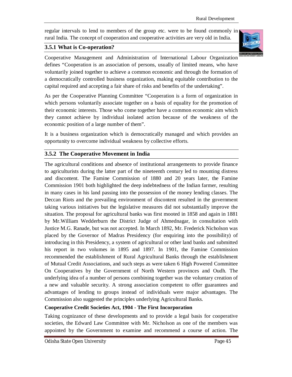regular intervals to lend to members of the group etc. were to be found commonly in rural India. The concept of cooperation and cooperative activities are very old in India.

# **3.5.1 What is Co-operation?**



Cooperative Management and Administration of International Labour Organization defines "Cooperation is an association of persons, usually of limited means, who have voluntarily joined together to achieve a common economic and through the formation of a democratically controlled business organization, making equitable contribution to the capital required and accepting a fair share of risks and benefits of the undertaking".

As per the Cooperative Planning Committee "Cooperation is a form of organization in which persons voluntarily associate together on a basis of equality for the promotion of their economic interests. Those who come together have a common economic aim which they cannot achieve by individual isolated action because of the weakness of the economic position of a large number of them".

It is a business organization which is democratically managed and which provides an opportunity to overcome individual weakness by collective efforts.

# **3.5.2 The Cooperative Movement in India**

The agricultural conditions and absence of institutional arrangements to provide finance to agriculturists during the latter part of the nineteenth century led to mounting distress and discontent. The Famine Commission of 1880 and 20 years later, the Famine Commission 1901 both highlighted the deep indebtedness of the Indian farmer, resulting in many cases in his land passing into the possession of the money lending classes. The Deccan Riots and the prevailing environment of discontent resulted in the government taking various initiatives but the legislative measures did not substantially improve the situation. The proposal for agricultural banks was first mooted in 1858 and again in 1881 by Mr.William Wedderburn the District Judge of Ahmednagar, in consultation with Justice M.G. Ranade, but was not accepted. In March 1892, Mr. Frederick Nicholson was placed by the Governor of Madras Presidency (for enquiring into the possibility) of introducing in this Presidency, a system of agricultural or other land banks and submitted his report in two volumes in 1895 and 1897. In 1901, the Famine Commission recommended the establishment of Rural Agricultural Banks through the establishment of Mutual Credit Associations, and such steps as were taken 6 High Powered Committee On Cooperatives by the Government of North Western provinces and Oudh. The underlying idea of a number of persons combining together was the voluntary creation of a new and valuable security. A strong association competent to offer guarantees and advantages of lending to groups instead of individuals were major advantages. The Commission also suggested the principles underlying Agricultural Banks.

# **Cooperative Credit Societies Act, 1904 - The First Incorporation**

Taking cognizance of these developments and to provide a legal basis for cooperative societies, the Edward Law Committee with Mr. Nicholson as one of the members was appointed by the Government to examine and recommend a course of action. The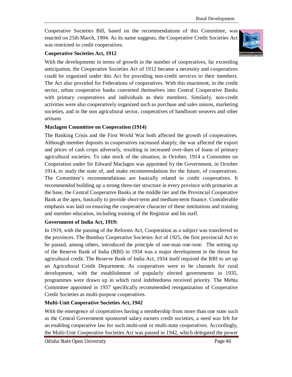Cooperative Societies Bill, based on the recommendations of this Committee, was enacted on 25th March, 1904. As its name suggests, the Cooperative Credit Societies Act was restricted to credit cooperatives.



#### **Cooperative Societies Act, 1912**

With the developments in terms of growth in the number of cooperatives, far exceeding anticipation, the Cooperative Societies Act of 1912 became a necessity and cooperatives could be organized under this Act for providing non-credit services to their members. The Act also provided for Federations of cooperatives. With this enactment, in the credit sector, urban cooperative banks converted themselves into Central Cooperative Banks with primary cooperatives and individuals as their members. Similarly, non-credit activities were also cooperatively organized such as purchase and sales unions, marketing societies, and in the non agricultural sector, cooperatives of handloom weavers and other artisans

#### **Maclagen Committee on Cooperation (1914)**

The Banking Crisis and the First World War both affected the growth of cooperatives. Although member deposits in cooperatives increased sharply, the war affected the export and prices of cash crops adversely, resulting in increased over-dues of loans of primary agricultural societies. To take stock of the situation, in October, 1914 a Committee on Cooperation under Sir Edward Maclagen was appointed by the Government, in October 1914, to study the state of, and make recommendations for the future, of cooperatives. The Committee's recommendations are basically related to credit cooperatives. It recommended building up a strong three-tier structure in every province with primaries at the base, the Central Cooperative Banks at the middle tier and the Provincial Cooperative Bank at the apex, basically to provide short-term and medium-term finance. Considerable emphasis was laid on ensuring the cooperative character of these institutions and training and member education, including training of the Registrar and his staff.

#### **Government of India Act, 1919:**

In 1919, with the passing of the Reforms Act, Cooperation as a subject was transferred to the provinces. The Bombay Cooperative Societies Act of 1925, the first provincial Act to be passed, among others, introduced the principle of one-man one-vote. The setting up of the Reserve Bank of India (RBI) in 1934 was a major development in the thrust for agricultural credit. The Reserve Bank of India Act, 1934 itself required the RBI to set up an Agricultural Credit Department. As cooperatives were to be channels for rural development, with the establishment of popularly elected governments in 1935, programmes were drawn up in which rural indebtedness received priority. The Mehta Committee appointed in 1937 specifically recommended reorganization of Cooperative Credit Societies as multi-purpose cooperatives.

#### **Multi-Unit Cooperative Societies Act, 1942**

With the emergence of cooperatives having a membership from more than one state such as the Central Government sponsored salary earners credit societies, a need was felt for an enabling cooperative law for such multi-unit or multi-state cooperatives. Accordingly, the Multi-Unit Cooperative Societies Act was passed in 1942, which delegated the power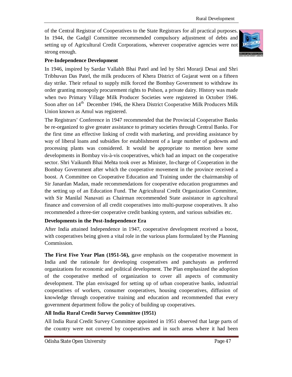of the Central Registrar of Cooperatives to the State Registrars for all practical purposes. In 1944, the Gadgil Committee recommended compulsory adjustment of debts and setting up of Agricultural Credit Corporations, wherever cooperative agencies were not strong enough.



#### **Pre-Independence Development**

In 1946, inspired by Sardar Vallabh Bhai Patel and led by Shri Morarji Desai and Shri Tribhuvan Das Patel, the milk producers of Khera District of Gujarat went on a fifteen day strike. Their refusal to supply milk forced the Bombay Government to withdraw its order granting monopoly procurement rights to Polson, a private dairy. History was made when two Primary Village Milk Producer Societies were registered in October 1946. Soon after on 14<sup>th</sup> December 1946, the Khera District Cooperative Milk Producers Milk Union known as Amul was registered.

The Registrars' Conference in 1947 recommended that the Provincial Cooperative Banks be re-organized to give greater assistance to primary societies through Central Banks. For the first time an effective linking of credit with marketing, and providing assistance by way of liberal loans and subsidies for establishment of a large number of godowns and processing plants was considered. It would be appropriate to mention here some developments in Bombay vis-à-vis cooperatives, which had an impact on the cooperative sector. Shri Vaikunth Bhai Mehta took over as Minister, In-charge of Cooperation in the Bombay Government after which the cooperative movement in the province received a boost. A Committee on Cooperative Education and Training under the chairmanship of Sir Janardan Madan, made recommendations for cooperative education programmes and the setting up of an Education Fund. The Agricultural Credit Organization Committee, with Sir Manilal Nanavati as Chairman recommended State assistance in agricultural finance and conversion of all credit cooperatives into multi-purpose cooperatives. It also recommended a three-tier cooperative credit banking system, and various subsidies etc.

#### **Developments in the Post-Independence Era**

After India attained Independence in 1947, cooperative development received a boost, with cooperatives being given a vital role in the various plans formulated by the Planning Commission.

**The First Five Year Plan (1951-56),** gave emphasis on the cooperative movement in India and the rationale for developing cooperatives and panchayats as preferred organizations for economic and political development. The Plan emphasized the adoption of the cooperative method of organization to cover all aspects of community development. The plan envisaged for setting up of urban cooperative banks, industrial cooperatives of workers, consumer cooperatives, housing cooperatives, diffusion of knowledge through cooperative training and education and recommended that every government department follow the policy of building up cooperatives.

#### **All India Rural Credit Survey Committee (1951)**

All India Rural Credit Survey Committee appointed in 1951 observed that large parts of the country were not covered by cooperatives and in such areas where it had been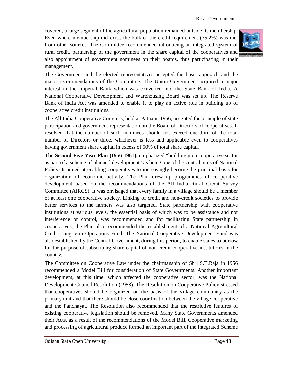covered, a large segment of the agricultural population remained outside its membership. Even where membership did exist, the bulk of the credit requirement (75.2%) was met from other sources. The Committee recommended introducing an integrated system of rural credit, partnership of the government in the share capital of the cooperatives and also appointment of government nominees on their boards, thus participating in their management.



The Government and the elected representatives accepted the basic approach and the major recommendations of the Committee. The Union Government acquired a major interest in the Imperial Bank which was converted into the State Bank of India. A National Cooperative Development and Warehousing Board was set up. The Reserve Bank of India Act was amended to enable it to play an active role in building up of cooperative credit institutions.

The All India Cooperative Congress, held at Patna in 1956, accepted the principle of state participation and government representation on the Board of Directors of cooperatives. It resolved that the number of such nominees should not exceed one-third of the total number of Directors or three, whichever is less and applicable even to cooperatives having government share capital in excess of 50% of total share capital.

**The Second Five-Year Plan (1956-1961),** emphasized "building up a cooperative sector as part of a scheme of planned development" as being one of the central aims of National Policy. It aimed at enabling cooperatives to increasingly become the principal basis for organization of economic activity. The Plan drew up programmes of cooperative development based on the recommendations of the All India Rural Credit Survey Committee (AIRCS). It was envisaged that every family in a village should be a member of at least one cooperative society. Linking of credit and non-credit societies to provide better services to the farmers was also targeted. State partnership with cooperative institutions at various levels, the essential basis of which was to be assistance and not interference or control, was recommended and for facilitating State partnership in cooperatives, the Plan also recommended the establishment of a National Agricultural Credit Long-term Operations Fund. The National Cooperative Development Fund was also established by the Central Government, during this period, to enable states to borrow for the purpose of subscribing share capital of non-credit cooperative institutions in the country.

The Committee on Cooperative Law under the chairmanship of Shri S.T.Raja in 1956 recommended a Model Bill for consideration of State Governments. Another important development, at this time, which affected the cooperative sector, was the National Development Council Resolution (1958). The Resolution on Cooperative Policy stressed that cooperatives should be organized on the basis of the village community as the primary unit and that there should be close coordination between the village cooperative and the Panchayat. The Resolution also recommended that the restrictive features of existing cooperative legislation should be removed. Many State Governments amended their Acts, as a result of the recommendations of the Model Bill, Cooperative marketing and processing of agricultural produce formed an important part of the Integrated Scheme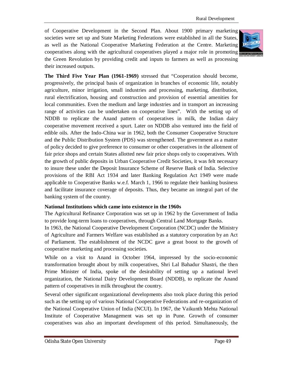of Cooperative Development in the Second Plan. About 1900 primary marketing societies were set up and State Marketing Federations were established in all the States, as well as the National Cooperative Marketing Federation at the Centre. Marketing cooperatives along with the agricultural cooperatives played a major role in promoting the Green Revolution by providing credit and inputs to farmers as well as processing their increased outputs.



**The Third Five Year Plan (1961-1969)** stressed that "Cooperation should become, progressively, the principal basis of organization in branches of economic life, notably agriculture, minor irrigation, small industries and processing, marketing, distribution, rural electrification, housing and construction and provision of essential amenities for local communities. Even the medium and large industries and in transport an increasing range of activities can be undertaken on cooperative lines". With the setting up of NDDB to replicate the Anand pattern of cooperatives in milk, the Indian dairy cooperative movement received a spurt. Later on NDDB also ventured into the field of edible oils. After the Indo-China war in 1962, both the Consumer Cooperative Structure and the Public Distribution System (PDS) was strengthened. The government as a matter of policy decided to give preference to consumer or other cooperatives in the allotment of fair price shops and certain States allotted new fair price shops only to cooperatives. With the growth of public deposits in Urban Cooperative Credit Societies, it was felt necessary to insure these under the Deposit Insurance Scheme of Reserve Bank of India. Selective provisions of the RBI Act 1934 and later Banking Regulation Act 1949 were made applicable to Cooperative Banks w.e.f. March 1, 1966 to regulate their banking business and facilitate insurance coverage of deposits. Thus, they became an integral part of the banking system of the country.

#### **National Institutions which came into existence in the 1960s**

The Agricultural Refinance Corporation was set up in 1962 by the Government of India to provide long-term loans to cooperatives, through Central Land Mortgage Banks.

In 1963, the National Cooperative Development Corporation (NCDC) under the Ministry of Agriculture and Farmers Welfare was established as a statutory corporation by an Act of Parliament. The establishment of the NCDC gave a great boost to the growth of cooperative marketing and processing societies.

While on a visit to Anand in October 1964, impressed by the socio-economic transformation brought about by milk cooperatives, Shri Lal Bahadur Shastri, the then Prime Minister of India, spoke of the desirability of setting up a national level organization, the National Dairy Development Board (NDDB), to replicate the Anand pattern of cooperatives in milk throughout the country.

Several other significant organizational developments also took place during this period such as the setting up of various National Cooperative Federations and re-organization of the National Cooperative Union of India (NCUI). In 1967, the Vaikunth Mehta National Institute of Cooperative Management was set up in Pune. Growth of consumer cooperatives was also an important development of this period. Simultaneously, the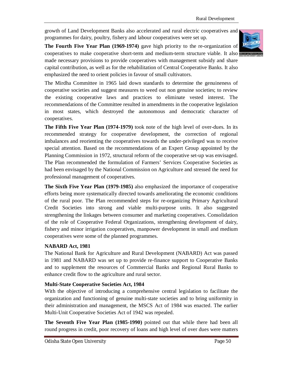growth of Land Development Banks also accelerated and rural electric cooperatives and programmes for dairy, poultry, fishery and labour cooperatives were set up.

**The Fourth Five Year Plan (1969-1974)** gave high priority to the re-organization of cooperatives to make cooperative short-term and medium-term structure viable. It also made necessary provisions to provide cooperatives with management subsidy and share capital contribution, as well as for the rehabilitation of Central Cooperative Banks. It also emphasized the need to orient policies in favour of small cultivators.

The Mirdha Committee in 1965 laid down standards to determine the genuineness of cooperative societies and suggest measures to weed out non genuine societies; to review the existing cooperative laws and practices to eliminate vested interest. The recommendations of the Committee resulted in amendments in the cooperative legislation in most states, which destroyed the autonomous and democratic character of cooperatives.

**The Fifth Five Year Plan (1974-1979)** took note of the high level of over-dues. In its recommended strategy for cooperative development, the correction of regional imbalances and reorienting the cooperatives towards the under-privileged was to receive special attention. Based on the recommendations of an Expert Group appointed by the Planning Commission in 1972, structural reform of the cooperative set-up was envisaged. The Plan recommended the formulation of Farmers' Services Cooperative Societies as had been envisaged by the National Commission on Agriculture and stressed the need for professional management of cooperatives.

**The Sixth Five Year Plan (1979-1985)** also emphasized the importance of cooperative efforts being more systematically directed towards ameliorating the economic conditions of the rural poor. The Plan recommended steps for re-organizing Primary Agricultural Credit Societies into strong and viable multi-purpose units. It also suggested strengthening the linkages between consumer and marketing cooperatives. Consolidation of the role of Cooperative Federal Organizations, strengthening development of dairy, fishery and minor irrigation cooperatives, manpower development in small and medium cooperatives were some of the planned programmes.

#### **NABARD Act, 1981**

The National Bank for Agriculture and Rural Development (NABARD) Act was passed in 1981 and NABARD was set up to provide re-finance support to Cooperative Banks and to supplement the resources of Commercial Banks and Regional Rural Banks to enhance credit flow to the agriculture and rural sector.

#### **Multi-State Cooperative Societies Act, 1984**

With the objective of introducing a comprehensive central legislation to facilitate the organization and functioning of genuine multi-state societies and to bring uniformity in their administration and management, the MSCS Act of 1984 was enacted. The earlier Multi-Unit Cooperative Societies Act of 1942 was repealed.

**The Seventh Five Year Plan (1985-1990)** pointed out that while there had been all round progress in credit, poor recovery of loans and high level of over dues were matters

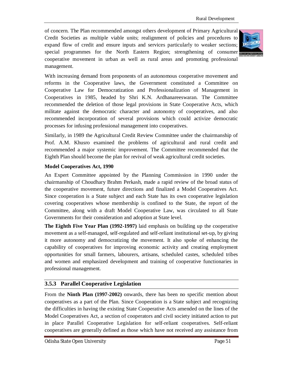of concern. The Plan recommended amongst others development of Primary Agricultural Credit Societies as multiple viable units; realignment of policies and procedures to expand flow of credit and ensure inputs and services particularly to weaker sections; special programmes for the North Eastern Region; strengthening of consumer cooperative movement in urban as well as rural areas and promoting professional management.



With increasing demand from proponents of an autonomous cooperative movement and reforms in the Cooperative laws, the Government constituted a Committee on Cooperative Law for Democratization and Professionalization of Management in Cooperatives in 1985, headed by Shri K.N. Ardhanareeswaran. The Committee recommended the deletion of those legal provisions in State Cooperative Acts, which militate against the democratic character and autonomy of cooperatives, and also recommended incorporation of several provisions which could activize democratic processes for infusing professional management into cooperatives.

Similarly, in 1989 the Agricultural Credit Review Committee under the chairmanship of Prof. A.M. Khusro examined the problems of agricultural and rural credit and recommended a major systemic improvement. The Committee recommended that the Eighth Plan should become the plan for revival of weak agricultural credit societies.

#### **Model Cooperatives Act, 1990**

An Expert Committee appointed by the Planning Commission in 1990 under the chairmanship of Choudhary Brahm Perkash, made a rapid review of the broad status of the cooperative movement, future directions and finalized a Model Cooperatives Act. Since cooperation is a State subject and each State has its own cooperative legislation covering cooperatives whose membership is confined to the State, the report of the Committee, along with a draft Model Cooperative Law, was circulated to all State Governments for their consideration and adoption at State level.

**The Eighth Five Year Plan (1992-1997)** laid emphasis on building up the cooperative movement as a self-managed, self-regulated and self-reliant institutional set-up, by giving it more autonomy and democratizing the movement. It also spoke of enhancing the capability of cooperatives for improving economic activity and creating employment opportunities for small farmers, labourers, artisans, scheduled castes, scheduled tribes and women and emphasized development and training of cooperative functionaries in professional management.

#### **3.5.3 Parallel Cooperative Legislation**

From the **Ninth Plan (1997-2002)** onwards, there has been no specific mention about cooperatives as a part of the Plan. Since Cooperation is a State subject and recognizing the difficulties in having the existing State Cooperative Acts amended on the lines of the Model Cooperatives Act, a section of cooperators and civil society initiated action to put in place Parallel Cooperative Legislation for self-reliant cooperatives. Self-reliant cooperatives are generally defined as those which have not received any assistance from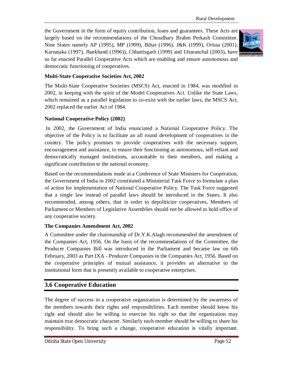the Government in the form of equity contribution, loans and guarantees. These Acts are largely based on the recommendations of the Choudhary Brahm Perkash Committee. Nine States namely AP (1995), MP (1999), Bihar (1996), J&K (1999), Orissa (2001), Karnataka (1997), Jharkhand (1996)), Chhattisgarh (1999) and Uttaranchal (2003), have so far enacted Parallel Cooperative Acts which are enabling and ensure autonomous and democratic functioning of cooperatives.



#### **Multi-State Cooperative Societies Act, 2002**

The Multi-State Cooperative Societies (MSCS) Act, enacted in 1984, was modified in 2002, in keeping with the spirit of the Model Cooperatives Act. Unlike the State Laws, which remained as a parallel legislation to co-exist with the earlier laws, the MSCS Act, 2002 replaced the earlier Act of 1984.

#### **National Cooperative Policy (2002)**

In 2002, the Government of India enunciated a National Cooperative Policy. The objective of the Policy is to facilitate an all round development of cooperatives in the country. The policy promises to provide cooperatives with the necessary support, encouragement and assistance, to ensure their functioning as autonomous, self-reliant and democratically managed institutions, accountable to their members, and making a significant contribution to the national economy.

Based on the recommendations made at a Conference of State Ministers for Cooperation, the Government of India in 2002 constituted a Ministerial Task Force to formulate a plan of action for implementation of National Cooperative Policy. The Task Force suggested that a single law instead of parallel laws should be introduced in the States. It also recommended, among others, that in order to depoliticize cooperatives, Members of Parliament or Members of Legislative Assemblies should not be allowed to hold office of any cooperative society.

#### **The Companies Amendment Act, 2002**

A Committee under the chairmanship of Dr.Y.K.Alagh recommended the amendment of the Companies Act, 1956. On the basis of the recommendations of the Committee, the Producer Companies Bill was introduced in the Parliament and became law on 6th February, 2003 as Part IXA - Producer Companies in the Companies Act, 1956. Based on the cooperative principles of mutual assistance, it provides an alternative to the institutional form that is presently available to cooperative enterprises.

# **3.6 Cooperative Education**

The degree of success in a cooperative organization is determined by the awareness of the members towards their rights and responsibilities. Each member should know his right and should also be willing to exercise his right so that the organization may maintain true democratic character. Similarly each member should be willing to share his responsibility. To bring such a change, cooperative education is vitally important.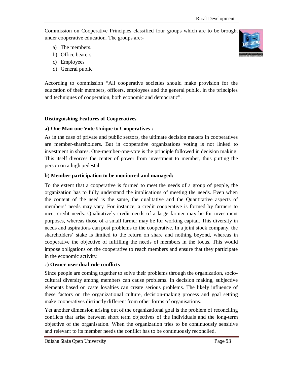Commission on Cooperative Principles classified four groups which are to be brought under cooperative education. The groups are:-

- a) The members.
- b) Office bearers
- c) Employees
- d) General public

According to commission "All cooperative societies should make provision for the education of their members, officers, employees and the general public, in the principles and techniques of cooperation, both economic and democratic".

#### **Distinguishing Features of Cooperatives**

#### **a) One Man-one Vote Unique to Cooperatives :**

As in the case of private and public sectors, the ultimate decision makers in cooperatives are member-shareholders. But in cooperative organizations voting is not linked to investment in shares. One-member-one-vote is the principle followed in decision making. This itself divorces the center of power from investment to member, thus putting the person on a high pedestal.

#### **b**) **Member participation to be monitored and managed:**

To the extent that a cooperative is formed to meet the needs of a group of people, the organization has to fully understand the implications of meeting the needs. Even when the content of the need is the same, the qualitative and the Quantitative aspects of members' needs may vary. For instance, a credit cooperative is formed by farmers to meet credit needs. Qualitatively credit needs of a large farmer may be for investment purposes, whereas those of a small farmer may be for working capital. This diversity in needs and aspirations can post problems to the cooperative. In a joint stock company, the shareholders' stake is limited to the return on share and nothing beyond, whereas in cooperative the objective of fulfilling the needs of members in the focus. This would impose obligations on the cooperative to reach members and ensure that they participate in the economic activity.

#### c**) Owner-user dual role conflicts**

Since people are coming together to solve their problems through the organization, sociocultural diversity among members can cause problems. In decision making, subjective elements based on caste loyalties can create serious problems. The likely influence of these factors on the organizational culture, decision-making process and goal setting make cooperatives distinctly different from other forms of organisations.

Yet another dimension arising out of the organizational goal is the problem of reconciling conflicts that arise between short term objectives of the individuals and the long-term objective of the organisation. When the organization tries to be continuously sensitive and relevant to its member needs the conflict has to be continuously reconciled.

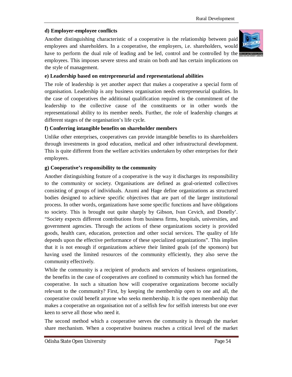#### **d) Employer-employee conflicts**

Another distinguishing characteristic of a cooperative is the relationship between paid employees and shareholders. In a cooperative, the employers, i.e. shareholders, would have to perform the dual role of leading and be led, control and be controlled by the employees. This imposes severe stress and strain on both and has certain implications on the style of management.



#### **e) Leadership based on entrepreneurial and representational abilities**

The role of leadership is yet another aspect that makes a cooperative a special form of organisation. Leadership is any business organisation needs entrepreneurial qualities. In the case of cooperatives the additional qualification required is the commitment of the leadership to the collective cause of the constituents or in other words the representational ability to its member needs. Further, the role of leadership changes at different stages of the organisation's life cycle.

#### **f) Conferring intangible benefits on shareholder members**

Unlike other enterprises, cooperatives can provide intangible benefits to its shareholders through investments in good education, medical and other infrastructural development. This is quite different from the welfare activities undertaken by other enterprises for their employees.

#### **g) Cooperative's responsibility to the community**

Another distinguishing feature of a cooperative is the way it discharges its responsibility to the community or society. Organisations are defined as goal-oriented collectives consisting of groups of individuals. Azumi and Hage define organizations as structured bodies designed to achieve specific objectives that are part of the larger institutional process. In other words, organizations have some specific functions and have obligations to society. This is brought out quite sharply by Gibson, Ivan Cevich, and Donelly'. "Society expects different contributions from business firms, hospitals, universities, and government agencies. Through the actions of these organizations society is provided goods, health care, education, protection and other social services. The quality of life depends upon the effective performance of these specialized organizations". This implies that it is not enough if organizations achieve their limited goals (of the sponsors) but having used the limited resources of the community efficiently, they also serve the community effectively.

While the community is a recipient of products and services of business organizations, the benefits in the case of cooperatives are confined to community which has formed the cooperative. In such a situation how will cooperative organizations become socially relevant to the community? First, by keeping the membership open to one and all, the cooperative could benefit anyone who seeks membership. It is the open membership that makes a cooperative an organisation not of a selfish few for selfish interests but one ever keen to serve all those who need it.

The second method which a cooperative serves the community is through the market share mechanism. When a cooperative business reaches a critical level of the market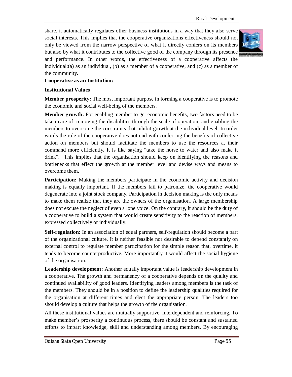share, it automatically regulates other business institutions in a way that they also serve social interests. This implies that the cooperative organizations effectiveness should not only be viewed from the narrow perspective of what it directly confers on its members but also by what it contributes to the collective good of the company through its presence and performance. In other words, the effectiveness of a cooperative affects the individual:(a) as an individual, (b) as a member of a cooperative, and (c) as a member of the community.



#### **Cooperative as an Institution:**

#### **Institutional Values**

**Member prosperity:** The most important purpose in forming a cooperative is to promote the economic and social well-being of the members.

**Member growth:** For enabling member to get economic benefits, two factors need to be taken care of: removing the disabilities through the scale of operation; and enabling the members to overcome the constraints that inhibit growth at the individual level. In order words the role of the cooperative does not end with conferring the benefits of collective action on members but should facilitate the members to use the resources at their command more efficiently. It is like saying "take the horse to water and also make it drink". This implies that the organisation should keep on identifying the reasons and bottlenecks that effect the growth at the member level and devise ways and means to overcome them.

**Participation:** Making the members participate in the economic activity and decision making is equally important. If the members fail to patronize, the cooperative would degenerate into a joint stock company. Participation in decision making is the only means to make them realize that they are the owners of the organisation. A large membership does not excuse the neglect of even a lone voice. On the contrary, it should be the duty of a cooperative to build a system that would create sensitivity to the reaction of members, expressed collectively or individually.

**Self-regulation:** In an association of equal partners, self-regulation should become a part of the organizational culture. It is neither feasible nor desirable to depend constantly on external control to regulate member participation for the simple reason that, overtime, it tends to become counterproductive. More importantly it would affect the social hygiene of the organisation.

**Leadership development:** Another equally important value is leadership development in a cooperative. The growth and permanency of a cooperative depends on the quality and continued availability of good leaders. Identifying leaders among members is the task of the members. They should be in a position to define the leadership qualities required for the organisation at different times and elect the appropriate person. The leaders too should develop a culture that helps the growth of the organisation.

All these institutional values are mutually supportive, interdependent and reinforcing. To make member's prosperity a continuous process, there should be constant and sustained efforts to impart knowledge, skill and understanding among members. By encouraging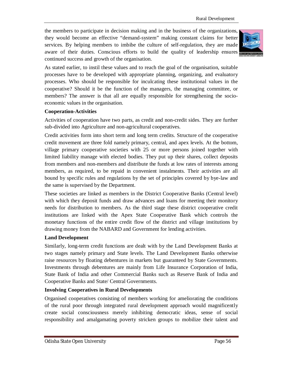the members to participate in decision making and in the business of the organizations, they would become an effective "demand-system" making constant claims for better services. By helping members to imbibe the culture of self-regulation, they are made aware of their duties. Conscious efforts to build the quality of leadership ensures continued success and growth of the organisation.



As stated earlier, to instil these values and to reach the goal of the organisation, suitable processes have to be developed with appropriate planning, organizing, and evaluatory processes. Who should be responsible for inculcating these institutional values in the cooperative? Should it be the function of the managers, the managing committee, or members? The answer is that all are equally responsible for strengthening the socioeconomic values in the organisation.

#### **Cooperation-Activities**

Activities of cooperation have two parts, as credit and non-credit sides. They are further sub-divided into Agriculture and non-agricultural cooperatives.

Credit activities form into short term and long term credits. Structure of the cooperative credit movement are three fold namely primary, central, and apex levels. At the bottom, village primary cooperative societies with 25 or more persons joined together with limited liability manage with elected bodies. They put up their shares, collect deposits from members and non-members and distribute the funds at low rates of interests among members, as required, to be repaid in convenient instalments. Their activities are all bound by specific rules and regulations by the set of principles covered by bye-law and the same is supervised by the Department.

These societies are linked as members in the District Cooperative Banks (Central level) with which they deposit funds and draw advances and loans for meeting their monitory needs for distribution to members. As the third stage these district cooperative credit institutions are linked with the Apex State Cooperative Bank which controls the monetary functions of the entire credit flow of the district and village institutions by drawing money from the NABARD and Government for lending activities.

#### **Land Development**

Similarly, long-term credit functions are dealt with by the Land Development Banks at two stages namely primary and State levels. The Land Development Banks otherwise raise resources by floating debentures in markets but guaranteed by State Governments. Investments through debentures are mainly from Life Insurance Corporation of India, State Bank of India and other Commercial Banks such as Reserve Bank of India and Cooperative Banks and State/ Central Governments.

#### **Involving Cooperatives in Rural Developments**

Organised cooperatives consisting of members working for ameliorating the conditions of the rural poor through integrated rural development approach would magnificently create social consciousness merely inhibiting democratic ideas, sense of social responsibility and amalgamating poverty stricken groups to mobilize their talent and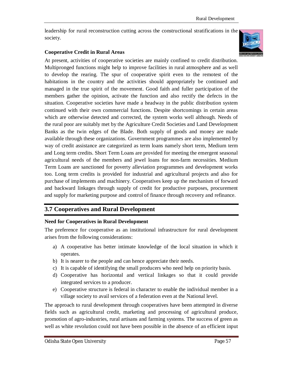leadership for rural reconstruction cutting across the constructional stratifications in the society.

#### **Cooperative Credit in Rural Areas**



At present, activities of cooperative societies are mainly confined to credit distribution. Multipronged functions might help to improve facilities in rural atmosphere and as well to develop the rearing. The spur of cooperative spirit even to the remotest of the habitations in the country and the activities should appropriately be continued and managed in the true spirit of the movement. Good faith and fuller participation of the members gather the opinion, activate the function and also rectify the defects in the situation. Cooperative societies have made a headway in the public distribution system continued with their own commercial functions. Despite shortcomings in certain areas which are otherwise detected and corrected, the system works well although. Needs of the rural poor are suitably met by the Agriculture Credit Societies and Land Development Banks as the twin edges of the Blade. Both supply of goods and money are made available through these organizations. Government programmes are also implemented by way of credit assistance are categorized as term loans namely short term, Medium term and Long term credits. Short Term Loans are provided for meeting the emergent seasonal agricultural needs of the members and jewel loans for non-farm necessities. Medium Term Loans are sanctioned for poverty alleviation programmes and development works too. Long term credits is provided for industrial and agricultural projects and also for purchase of implements and machinery. Cooperatives keep up the mechanism of forward and backward linkages through supply of credit for productive purposes, procurement and supply for marketing purpose and control of finance through recovery and refinance.

# **3.7 Cooperatives and Rural Development**

#### **Need for Cooperatives in Rural Development**

The preference for cooperative as an institutional infrastructure for rural development arises from the following considerations:

- a) A cooperative has better intimate knowledge of the local situation in which it operates.
- b) It is nearer to the people and can hence appreciate their needs.
- c) It is capable of identifying the small producers who need help on priority basis.
- d) Cooperative has horizontal and vertical linkages so that it could provide integrated services to a producer.
- e) Cooperative structure is federal in character to enable the individual member in a village society to avail services of a federation even at the National level.

The approach to rural development through cooperatives have been attempted in diverse fields such as agricultural credit, marketing and processing of agricultural produce, promotion of agro-industries, rural artisans and farming systems. The success of green as well as white revolution could not have been possible in the absence of an efficient input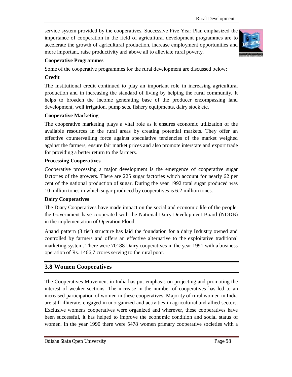service system provided by the cooperatives. Successive Five Year Plan emphasized the importance of cooperation in the field of agricultural development programmes are to accelerate the growth of agricultural production, increase employment opportunities and more important, raise productivity and above all to alleviate rural poverty.



#### **Cooperative Programmes**

Some of the cooperative programmes for the rural development are discussed below:

#### **Credit**

The institutional credit continued to play an important role in increasing agricultural production and in increasing the standard of living by helping the rural community. It helps to broaden the income generating base of the producer encompassing land development, well irrigation, pump sets, fishery equipments, dairy stock etc.

#### **Cooperative Marketing**

The cooperative marketing plays a vital role as it ensures economic utilization of the available resources in the rural areas by creating potential markets. They offer an effective countervailing force against speculative tendencies of the market weighed against the farmers, ensure fair market prices and also promote interstate and export trade for providing a better return to the farmers.

#### **Processing Cooperatives**

Cooperative processing a major development is the emergence of cooperative sugar factories of the growers. There are 225 sugar factories which account for nearly 62 per cent of the national production of sugar. During the year 1992 total sugar produced was 10 million tones in which sugar produced by cooperatives is 6.2 million tones.

#### **Dairy Cooperatives**

The Diary Cooperatives have made impact on the social and economic life of the people, the Government have cooperated with the National Dairy Development Board (NDDB) in the implementation of Operation Flood.

Anand pattern (3 tier) structure has laid the foundation for a dairy Industry owned and controlled by farmers and offers an effective alternative to the exploitative traditional marketing system. There were 70188 Dairy cooperatives in the year 1991 with a business operation of Rs. 1466,7 crores serving to the rural poor.

# **3.8 Women Cooperatives**

The Cooperatives Movement in India has put emphasis on projecting and promoting the interest of weaker sections. The increase in the number of cooperatives has led to an increased participation of women in these cooperatives. Majority of rural women in India are still illiterate, engaged in unorganized and activities in agricultural and allied sectors. Exclusive womens cooperatives were organized and wherever, these cooperatives have been successful, it has helped to improve the economic condition and social status of women. In the year 1990 there were 5478 women primary cooperative societies with a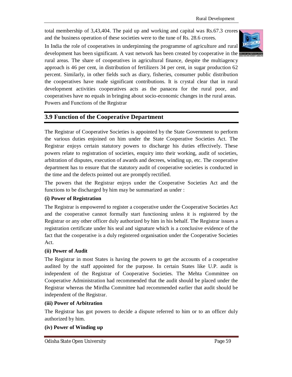total membership of 3,43,404. The paid up and working and capital was Rs.67.3 crores and the business operation of these societies were to the tune of Rs. 28.6 crores.

In India the role of cooperatives in underpinning the programme of agriculture and rural development has been significant. A vast network has been created by cooperative in the rural areas. The share of cooperatives in agricultural finance, despite the multiagency approach is 46 per cent, in distribution of fertilizers 34 per cent, in sugar production 62 percent. Similarly, in other fields such as diary, fisheries, consumer public distribution the cooperatives have made significant contributions. It is crystal clear that in rural development activities cooperatives acts as the panacea for the rural poor, and cooperatives have no equals in bringing about socio-economic changes in the rural areas. Powers and Functions of the Registrar

# **3.9 Function of the Cooperative Department**

The Registrar of Cooperative Societies is appointed by the State Government to perform the various duties enjoined on him under the State Cooperative Societies Act. The Registrar enjoys certain statutory powers to discharge his duties effectively. These powers relate to registration of societies, enquiry into their working, audit of societies, arbitration of disputes, execution of awards and decrees, winding up, etc. The cooperative department has to ensure that the statutory audit of cooperative societies is conducted in the time and the defects pointed out are promptly rectified.

The powers that the Registrar enjoys under the Cooperative Societies Act and the functions to be discharged by him may be summarized as under :

#### **(i) Power of Registration**

The Registrar is empowered to register a cooperative under the Cooperative Societies Act and the cooperative cannot formally start functioning unless it is registered by the Registrar or any other officer duly authorized by him in his behalf. The Registrar issues a registration certificate under his seal and signature which is a conclusive evidence of the fact that the cooperative is a duly registered organisation under the Cooperative Societies Act.

#### **(ii) Power of Audit**

The Registrar in most States is having the powers to get the accounts of a cooperative audited by the staff appointed for the purpose. In certain States like U.P. audit is independent of the Registrar of Cooperative Societies. The Mehta Committee on Cooperative Administration had recommended that the audit should be placed under the Registrar whereas the Mirdha Committee had recommended earlier that audit should be independent of the Registrar.

#### **(iii) Power of Arbitration**

The Registrar has got powers to decide a dispute referred to him or to an officer duly authorized by him.

#### **(iv) Power of Winding up**

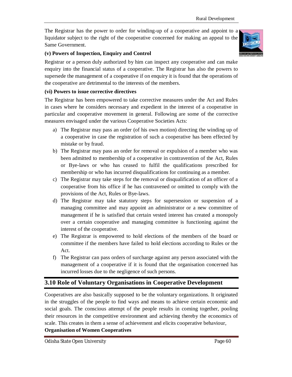The Registrar has the power to order for winding-up of a cooperative and appoint to a liquidator subject to the right of the cooperative concerned for making an appeal to the Same Government.



#### **(v) Powers of Inspection, Enquiry and Control**

Registrar or a person duly authorized by him can inspect any cooperative and can make enquiry into the financial status of a cooperative. The Registrar has also the powers to supersede the management of a cooperative if on enquiry it is found that the operations of the cooperative are detrimental to the interests of the members.

#### **(vi) Powers to issue corrective directives**

The Registrar has been empowered to take corrective measures under the Act and Rules in cases where he considers necessary and expedient in the interest of a cooperative in particular and cooperative movement in general. Following are some of the corrective measures envisaged under the various Cooperative Societies Acts:

- a) The Registrar may pass an order (of his own motion) directing the winding up of a cooperative in case the registration of such a cooperative has been effected by mistake or by fraud.
- b) The Registrar may pass an order for removal or expulsion of a member who was been admitted to membership of a cooperative in contravention of the Act, Rules or Bye-laws or who has ceased to fulfil the qualifications prescribed for membership or who has incurred disqualifications for continuing as a member.
- c) The Registrar may take steps for the removal or disqualification of an officer of a cooperative from his office if he has contravened or omitted to comply with the provisions of the Act, Rules or Bye-laws.
- d) The Registrar may take statutory steps for supersession or suspension of a managing committee and may appoint an administrator or a new committee of management if he is satisfied that certain vested interest has created a monopoly over a certain cooperative and managing committee is functioning against the interest of the cooperative.
- e) The Registrar is empowered to hold elections of the members of the board or committee if the members have failed to hold elections according to Rules or the Act.
- f) The Registrar can pass orders of surcharge against any person associated with the management of a cooperative if it is found that the organisation concerned has incurred losses due to the negligence of such persons.

# **3.10 Role of Voluntary Organisations in Cooperative Development**

Cooperatives are also basically supposed to be the voluntary organizations. It originated in the struggles of the people to find ways and means to achieve certain economic and social goals. The conscious attempt of the people results in coming together, pooling their resources in the competitive environment and achieving thereby the economics of scale. This creates in them a sense of achievement and elicits cooperative behaviour, **Organisation of Women Cooperatives**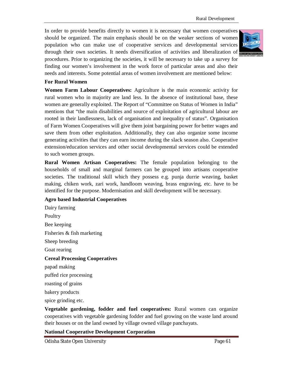In order to provide benefits directly to women it is necessary that women cooperatives should be organized. The main emphasis should be on the weaker sections of women population who can make use of cooperative services and developmental services through their own societies. It needs diversification of activities and liberalization of procedures. Prior to organizing the societies, it will be necessary to take up a survey for finding our women's involvement in the work force of particular areas and also their needs and interests. Some potential areas of women involvement are mentioned below:



#### **For Rural Women**

**Women Farm Labour Cooperatives:** Agriculture is the main economic activity for rural women who in majority are land less. In the absence of institutional base, these women are generally exploited. The Report of "Committee on Status of Women in India" mentions that "the main disabilities and source of exploitation of agricultural labour are rooted in their landlessness, lack of organisation and inequality of status". Organisation of Farm Women Cooperatives will give them joint bargaining power for better wages and save them from other exploitation. Additionally, they can also organize some income generating activities that they can earn income during the slack season also. Cooperative extension/education services and other social developmental services could be extended to such women groups.

**Rural Women Artisan Cooperatives:** The female population belonging to the households of small and marginal farmers can be grouped into artisans cooperative societies. The traditional skill which they possess e.g. punja durrie weaving, basket making, chiken work, zari work, handloom weaving, brass engraving, etc. have to be identified for the purpose. Modernisation and skill development will be necessary.

#### **Agro based Industrial Cooperatives**

Dairy farming **Poultry** Bee keeping Fisheries & fish marketing Sheep breeding Goat rearing **Cereal Processing Cooperatives** papad making puffed rice processing roasting of grains bakery products spice grinding etc.

**Vegetable gardening, fodder and fuel cooperatives:** Rural women can organize cooperatives with vegetable gardening fodder and fuel growing on the waste land around their houses or on the land owned by village owned village panchayats.

#### **National Cooperative Development Corporation**

Odisha State Open University Page 61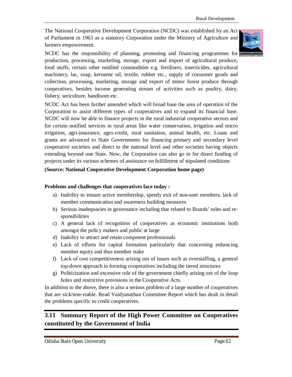The National Cooperative Development Corporation (NCDC) was established by an Act of Parliament in 1963 as a statutory Corporation under the Ministry of Agriculture and farmers empowerment.



NCDC has the responsibility of planning, promoting and financing programmes for production, processing, marketing, storage, export and import of agricultural produce, food stuffs, certain other notified commodities e.g. fertilisers, insecticides, agricultural machinery, lac, soap, kerosene oil, textile, rubber etc., supply of consumer goods and collection, processing, marketing, storage and export of minor forest produce through cooperatives, besides income generating stream of activities such as poultry, dairy, fishery, sericulture, handloom etc.

NCDC Act has been further amended which will broad base the area of operation of the Corporation to assist different types of cooperatives and to expand its financial base. NCDC will now be able to finance projects in the rural industrial cooperative sectors and for certain notified services in rural areas like water conservation, irrigation and micro irrigation, agri-insurance, agro-credit, rural sanitation, animal health, etc. Loans and grants are advanced to State Governments for financing primary and secondary level cooperative societies and direct to the national level and other societies having objects extending beyond one State. Now, the Corporation can also go in for direct funding of projects under its various schemes of assistance on fulfillment of stipulated conditions

#### **(Source: National Cooperative Development Corporation home page)**

#### **Problems and challenges that cooperatives face today :**

- a) Inability to ensure active membership, speedy exit of non-user members, lack of member communication and awareness building measures
- b) Serious inadequacies in governance including that related to Boards' roles and responsibilities
- c) A general lack of recognition of cooperatives as economic institutions both amongst the policy makers and public at large
- d) Inability to attract and retain competent professionals
- e) Lack of efforts for capital formation particularly that concerning enhancing member equity and thus member stake
- f) Lack of cost competitiveness arising out of issues such as overstaffing, a general top-down approach in forming cooperatives including the tiered structures
- g) Politicization and excessive role of the government chiefly arising out of the loop holes and restrictive provisions in the Cooperative Acts.

In addition to the above, there is also a serious problem of a large number of cooperatives that are sick/non-viable. Read Vaidyanathan Committee Report which has dealt in detail the problems specific to credit cooperatives.

# **3.11 Summary Report of the High Power Committee on Cooperatives constituted by the Government of India**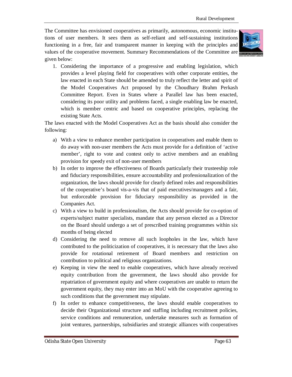The Committee has envisioned cooperatives as primarily, autonomous, economic institutions of user members. It sees them as self-reliant and self-sustaining institutions functioning in a free, fair and transparent manner in keeping with the principles and values of the cooperative movement. Summary Recommendations of the Committee are given below:



1. Considering the importance of a progressive and enabling legislation, which provides a level playing field for cooperatives with other corporate entities, the law enacted in each State should be amended to truly reflect the letter and spirit of the Model Cooperatives Act proposed by the Choudhary Brahm Perkash Committee Report. Even in States where a Parallel law has been enacted, considering its poor utility and problems faced, a single enabling law be enacted, which is member centric and based on cooperative principles, replacing the existing State Acts.

The laws enacted with the Model Cooperatives Act as the basis should also consider the following:

- a) With a view to enhance member participation in cooperatives and enable them to do away with non-user members the Acts must provide for a definition of 'active member', right to vote and contest only to active members and an enabling provision for speedy exit of non-user members
- b) In order to improve the effectiveness of Boards particularly their trusteeship role and fiduciary responsibilities, ensure accountability and professionalization of the organization, the laws should provide for clearly defined roles and responsibilities of the cooperative's board vis-a-vis that of paid executives/managers and a fair, but enforceable provision for fiduciary responsibility as provided in the Companies Act.
- c) With a view to build in professionalism, the Acts should provide for co-option of experts/subject matter specialists, mandate that any person elected as a Director on the Board should undergo a set of prescribed training programmes within six months of being elected
- d) Considering the need to remove all such loopholes in the law, which have contributed to the politicization of cooperatives, it is necessary that the laws also provide for rotational retirement of Board members and restriction on contribution to political and religious organizations.
- e) Keeping in view the need to enable cooperatives, which have already received equity contribution from the government, the laws should also provide for repatriation of government equity and where cooperatives are unable to return the government equity, they may enter into an MoU with the cooperative agreeing to such conditions that the government may stipulate.
- f) In order to enhance competitiveness, the laws should enable cooperatives to decide their Organizational structure and staffing including recruitment policies, service conditions and remuneration, undertake measures such as formation of joint ventures, partnerships, subsidiaries and strategic alliances with cooperatives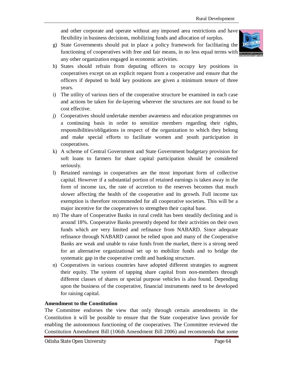and other corporate and operate without any imposed area restrictions and have flexibility in business decisions, mobilizing funds and allocation of surplus.

g) State Governments should put in place a policy framework for facilitating the functioning of cooperatives with free and fair means, in no less equal terms with any other organization engaged in economic activities.



- h) States should refrain from deputing officers to occupy key positions in cooperatives except on an explicit request from a cooperative and ensure that the officers if deputed to hold key positions are given a minimum tenure of three years.
- i) The utility of various tiers of the cooperative structure be examined in each case and actions be taken for de-layering wherever the structures are not found to be cost effective.
- j) Cooperatives should undertake member awareness and education programmes on a continuing basis in order to sensitize members regarding their rights, responsibilities/obligations in respect of the organization to which they belong and make special efforts to facilitate women and youth participation in cooperatives.
- k) A scheme of Central Government and State Government budgetary provision for soft loans to farmers for share capital participation should be considered seriously.
- l) Retained earnings in cooperatives are the most important form of collective capital. However if a substantial portion of retained earnings is taken away in the form of income tax, the rate of accretion to the reserves becomes that much slower affecting the health of the cooperative and its growth. Full income tax exemption is therefore recommended for all cooperative societies. This will be a major incentive for the cooperatives to strengthen their capital base.
- m) The share of Cooperative Banks in rural credit has been steadily declining and is around 18%. Cooperative Banks presently depend for their activities on their own funds which are very limited and refinance from NABARD. Since adequate refinance through NABARD cannot be relied upon and many of the Cooperative Banks are weak and unable to raise funds from the market, there is a strong need for an alternative organizational set up to mobilize funds and to bridge the systematic gap in the cooperative credit and banking structure.
- n) Cooperatives in various countries have adopted different strategies to augment their equity. The system of tapping share capital from non-members through different classes of shares or special purpose vehicles is also found. Depending upon the business of the cooperative, financial instruments need to be developed for raising capital.

#### **Amendment to the Constitution**

The Committee endorses the view that only through certain amendments in the Constitution it will be possible to ensure that the State cooperative laws provide for enabling the autonomous functioning of the cooperatives. The Committee reviewed the Constitution Amendment Bill (106th Amendment Bill 2006) and recommends that some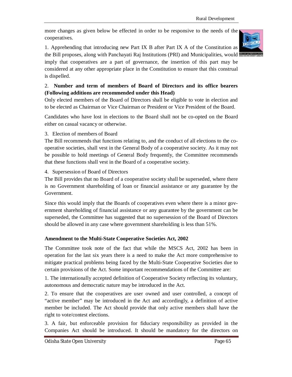more changes as given below be effected in order to be responsive to the needs of the cooperatives.

1. Apprehending that introducing new Part IX B after Part IX A of the Constitution as the Bill proposes, along with Panchayati Raj Institutions (PRI) and Municipalities, would



imply that cooperatives are a part of governance, the insertion of this part may be considered at any other appropriate place in the Constitution to ensure that this construal is dispelled.

#### 2. **Number and term of members of Board of Directors and its office bearers (Following additions are recommended under this Head)**

Only elected members of the Board of Directors shall be eligible to vote in election and to be elected as Chairman or Vice Chairman or President or Vice President of the Board.

Candidates who have lost in elections to the Board shall not be co-opted on the Board either on casual vacancy or otherwise.

#### 3. Election of members of Board

The Bill recommends that functions relating to, and the conduct of all elections to the cooperative societies, shall vest in the General Body of a cooperative society. As it may not be possible to hold meetings of General Body frequently, the Committee recommends that these functions shall vest in the Board of a cooperative society.

4. Supersession of Board of Directors

The Bill provides that no Board of a cooperative society shall be superseded, where there is no Government shareholding of loan or financial assistance or any guarantee by the Government.

Since this would imply that the Boards of cooperatives even where there is a minor government shareholding of financial assistance or any guarantee by the government can be superseded, the Committee has suggested that no supersession of the Board of Directors should be allowed in any case where government shareholding is less than 51%.

#### **Amendment to the Multi-State Cooperative Societies Act, 2002**

The Committee took note of the fact that while the MSCS Act, 2002 has been in operation for the last six years there is a need to make the Act more comprehensive to mitigate practical problems being faced by the Multi-State Cooperative Societies due to certain provisions of the Act. Some important recommendations of the Committee are:

1. The internationally accepted definition of Cooperative Society reflecting its voluntary, autonomous and democratic nature may be introduced in the Act.

2. To ensure that the cooperatives are user owned and user controlled, a concept of "active member" may be introduced in the Act and accordingly, a definition of active member be included. The Act should provide that only active members shall have the right to vote/contest elections.

3. A fair, but enforceable provision for fiduciary responsibility as provided in the Companies Act should be introduced. It should be mandatory for the directors on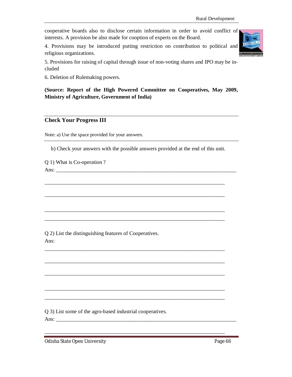cooperative boards also to disclose certain information in order to avoid conflict of interests. A provision be also made for cooption of experts on the Board.

4. Provisions may be introduced putting restriction on contribution to political and religious organizations.



5. Provisions for raising of capital through issue of non-voting shares and IPO may be included

6. Deletion of Rulemaking powers.

**(Source: Report of the High Powered Committee on Cooperatives, May 2009, Ministry of Agriculture, Government of India)**

#### **Check Your Progress III**

Note: a) Use the space provided for your answers.

b) Check your answers with the possible answers provided at the end of this unit.

\_\_\_\_\_\_\_\_\_\_\_\_\_\_\_\_\_\_\_\_\_\_\_\_\_\_\_\_\_\_\_\_\_\_\_\_\_\_\_\_\_\_\_\_\_\_\_\_\_\_\_\_\_\_\_\_\_\_\_\_\_\_\_\_\_\_\_

\_\_\_\_\_\_\_\_\_\_\_\_\_\_\_\_\_\_\_\_\_\_\_\_\_\_\_\_\_\_\_\_\_\_\_\_\_\_\_\_\_\_\_\_\_\_\_\_\_\_\_\_\_\_\_\_\_\_\_\_\_\_\_\_\_\_\_

\_\_\_\_\_\_\_\_\_\_\_\_\_\_\_\_\_\_\_\_\_\_\_\_\_\_\_\_\_\_\_\_\_\_\_\_\_\_\_\_\_\_\_\_\_\_\_\_\_\_\_\_\_\_\_\_\_\_\_\_\_\_\_\_\_\_\_ \_\_\_\_\_\_\_\_\_\_\_\_\_\_\_\_\_\_\_\_\_\_\_\_\_\_\_\_\_\_\_\_\_\_\_\_\_\_\_\_\_\_\_\_\_\_\_\_\_\_\_\_\_\_\_\_\_\_\_\_\_\_\_\_\_\_\_

\_\_\_\_\_\_\_\_\_\_\_\_\_\_\_\_\_\_\_\_\_\_\_\_\_\_\_\_\_\_\_\_\_\_\_\_\_\_\_\_\_\_\_\_\_\_\_\_\_\_\_\_\_\_\_\_\_\_\_\_\_\_\_\_\_\_\_

\_\_\_\_\_\_\_\_\_\_\_\_\_\_\_\_\_\_\_\_\_\_\_\_\_\_\_\_\_\_\_\_\_\_\_\_\_\_\_\_\_\_\_\_\_\_\_\_\_\_\_\_\_\_\_\_\_\_\_\_\_\_\_\_\_\_\_

\_\_\_\_\_\_\_\_\_\_\_\_\_\_\_\_\_\_\_\_\_\_\_\_\_\_\_\_\_\_\_\_\_\_\_\_\_\_\_\_\_\_\_\_\_\_\_\_\_\_\_\_\_\_\_\_\_\_\_\_\_\_\_\_\_\_\_

\_\_\_\_\_\_\_\_\_\_\_\_\_\_\_\_\_\_\_\_\_\_\_\_\_\_\_\_\_\_\_\_\_\_\_\_\_\_\_\_\_\_\_\_\_\_\_\_\_\_\_\_\_\_\_\_\_\_\_\_\_\_\_\_\_\_\_ \_\_\_\_\_\_\_\_\_\_\_\_\_\_\_\_\_\_\_\_\_\_\_\_\_\_\_\_\_\_\_\_\_\_\_\_\_\_\_\_\_\_\_\_\_\_\_\_\_\_\_\_\_\_\_\_\_\_\_\_\_\_\_\_\_\_\_

\_\_\_\_\_\_\_\_\_\_\_\_\_\_\_\_\_\_\_\_\_\_\_\_\_\_\_\_\_\_\_\_\_\_\_\_\_\_\_\_\_\_\_\_\_\_\_\_\_\_\_\_\_\_\_\_\_\_\_\_\_\_\_\_\_\_\_

Q 1) What is Co-operation ?

Ans: \_\_\_\_\_\_\_\_\_\_\_\_\_\_\_\_\_\_\_\_\_\_\_\_\_\_\_\_\_\_\_\_\_\_\_\_\_\_\_\_\_\_\_\_\_\_\_\_\_\_\_\_\_\_\_\_\_\_\_\_\_\_\_\_\_\_\_

Q 2) List the distinguishing features of Cooperatives. Ans:

Q 3) List some of the agro-based industrial cooperatives.

Ans:

Odisha State Open University **Page 66**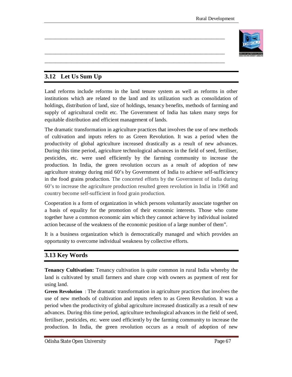

# **3.12 Let Us Sum Up**

Land reforms include reforms in the land tenure system as well as reforms in other institutions which are related to the land and its utilization such as consolidation of holdings, distribution of land, size of holdings, tenancy benefits, methods of farming and supply of agricultural credit etc. The Government of India has taken many steps for equitable distribution and efficient management of lands.

\_\_\_\_\_\_\_\_\_\_\_\_\_\_\_\_\_\_\_\_\_\_\_\_\_\_\_\_\_\_\_\_\_\_\_\_\_\_\_\_\_\_\_\_\_\_\_\_\_\_\_\_\_\_\_\_\_\_\_\_\_\_\_\_\_\_\_

\_\_\_\_\_\_\_\_\_\_\_\_\_\_\_\_\_\_\_\_\_\_\_\_\_\_\_\_\_\_\_\_\_\_\_\_\_\_\_\_\_\_\_\_\_\_\_\_\_\_\_\_\_\_\_\_\_\_\_\_\_\_\_\_\_\_\_ \_\_\_\_\_\_\_\_\_\_\_\_\_\_\_\_\_\_\_\_\_\_\_\_\_\_\_\_\_\_\_\_\_\_\_\_\_\_\_\_\_\_\_\_\_\_\_\_\_\_\_\_\_\_\_\_\_\_\_\_\_\_\_\_\_\_\_

The dramatic transformation in agriculture practices that involves the use of new methods of cultivation and inputs refers to as Green Revolution. It was a period when the productivity of global agriculture increased drastically as a result of new advances. During this time period, agriculture technological advances in the field of seed, fertiliser, pesticides, etc. were used efficiently by the farming community to increase the production. In India, the green revolution occurs as a result of adoption of new agriculture strategy during mid 60's by Government of India to achieve self-sufficiency in the food grains production. The concerted efforts by the Government of India during 60's to increase the agriculture production resulted green revolution in India in 1968 and country become self-sufficient in food grain production.

Cooperation is a form of organization in which persons voluntarily associate together on a basis of equality for the promotion of their economic interests. Those who come together have a common economic aim which they cannot achieve by individual isolated action because of the weakness of the economic position of a large number of them".

It is a business organization which is democratically managed and which provides an opportunity to overcome individual weakness by collective efforts.

# **3.13 Key Words**

**Tenancy Cultivation:** Tenancy cultivation is quite common in rural India whereby the land is cultivated by small farmers and share crop with owners as payment of rent for using land.

**Green Revolution** : The dramatic transformation in agriculture practices that involves the use of new methods of cultivation and inputs refers to as Green Revolution. It was a period when the productivity of global agriculture increased drastically as a result of new advances. During this time period, agriculture technological advances in the field of seed, fertiliser, pesticides, etc. were used efficiently by the farming community to increase the production. In India, the green revolution occurs as a result of adoption of new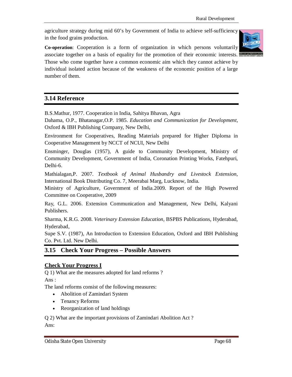agriculture strategy during mid 60's by Government of India to achieve self-sufficiency in the food grains production.

**Co-operation**: Cooperation is a form of organization in which persons voluntarily associate together on a basis of equality for the promotion of their economic interests.



Those who come together have a common economic aim which they cannot achieve by individual isolated action because of the weakness of the economic position of a large number of them.

#### **3.14 Reference**

B.S.Mathur, 1977. Cooperation in India, Sahitya Bhavan, Agra

Dahama, O.P., Bhatanagar,O.P. 1985. *Education and Communication for Development*, Oxford & IBH Publishing Company, New Delhi,

Environment for Cooperatives, Reading Materials prepared for Higher Diploma in Cooperative Management by NCCT of NCUI, New Delhi

Ensminger, Douglas (1957), A guide to Community Development, Ministry of Community Development, Government of India, Coronation Printing Works, Fatehpuri, Delhi-6.

Mathialagan,P. 2007. *Textbook of Animal Husbandry and Livestock Extension*, International Book Distributing Co. 7, Meerabai Marg, Lucknow, India.

Ministry of Agriculture, Government of India.2009. Report of the High Powered Committee on Cooperative, 2009

Ray, G.L. 2006. Extension Communication and Management, New Delhi, Kalyani Publishers.

Sharma, K.R.G. 2008. *Veterinary Extension Education*, BSPBS Publications, Hyderabad, Hyderabad,

Supe S.V. (1987), An Introduction to Extension Education, Oxford and IBH Publishing Co. Pvt. Ltd. New Delhi.

# **3.15 Check Your Progress – Possible Answers**

#### **Check Your Progress I**

Q 1) What are the measures adopted for land reforms ? Ans :

The land reforms consist of the following measures:

- Abolition of Zamindari System
- Tenancy Reforms
- Reorganization of land holdings

Q 2) What are the important provisions of Zamindari Abolition Act ? Ans: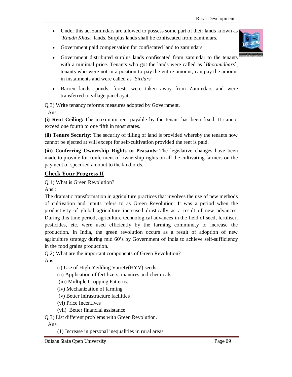- Under this act zamindars are allowed to possess some part of their lands known as `*Khudh Khast*` lands. Surplus lands shall be confiscated from zamindars.
- Government paid compensation for confiscated land to zamindars
- Government distributed surplus lands confiscated from zamindar to the tenants with a minimal price. Tenants who got the lands were called as `*Bhoomidhars*`, tenants who were not in a position to pay the entire amount, can pay the amount in instalments and were called as `*Sirdars*`.
- Barren lands, ponds, forests were taken away from Zamindars and were transferred to village panchayats.

Q 3) Write tenancy reforms measures adopted by Government.

Ans:

**(i) Rent Ceiling:** The maximum rent payable by the tenant has been fixed. It cannot exceed one fourth to one fifth in most states.

**(ii) Tenure Security:** The security of tilling of land is provided whereby the tenants now cannot be ejected at will except for self-cultivation provided the rent is paid.

**(iii) Conferring Ownership Rights to Peasants:** The legislative changes have been made to provide for conferment of ownership rights on all the cultivating farmers on the payment of specified amount to the landlords.

#### **Check Your Progress II**

Q 1) What is Green Revolution?

Ans :

The dramatic transformation in agriculture practices that involves the use of new methods of cultivation and inputs refers to as Green Revolution. It was a period when the productivity of global agriculture increased drastically as a result of new advances. During this time period, agriculture technological advances in the field of seed, fertiliser, pesticides, etc. were used efficiently by the farming community to increase the production. In India, the green revolution occurs as a result of adoption of new agriculture strategy during mid 60's by Government of India to achieve self-sufficiency in the food grains production.

Q 2) What are the important components of Green Revolution?

 $Ans.$ 

(i) Use of High-Yeilding Variety(HYV) seeds.

(ii) Application of fertilizers, manures and chemicals

(iii) Multiple Cropping Patterns.

(iv) Mechanization of farming

(v) Better Infrastructure facilities

(vi) Price Incentives

(vii) Better financial assistance

Q 3) List different problems with Green Revolution.

Ans:

(1) Increase in personal inequalities in rural areas